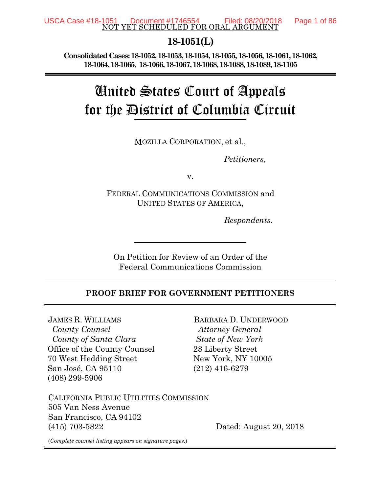#### NOT YET SCHEDULED FOR ORAL ARGUMENT USCA Case #18-1051 Document #1746554 Filed: 08/20/2018 Page 1 of 86

### **18-1051(L)**

**Consolidated Cases: 18-1052, 18-1053, 18-1054, 18-1055, 18-1056, 18-1061, 18-1062, 18-1064, 18-1065, 18-1066, 18-1067, 18-1068, 18-1088, 18-1089, 18-1105**

# United States Court of Appeals for the District of Columbia Circuit

MOZILLA CORPORATION, et al.,

*Petitioners*,

v.

FEDERAL COMMUNICATIONS COMMISSION and UNITED STATES OF AMERICA,

*Respondents*.

On Petition for Review of an Order of the Federal Communications Commission

#### **PROOF BRIEF FOR GOVERNMENT PETITIONERS**

JAMES R. WILLIAMS  *County Counsel County of Santa Clara* Office of the County Counsel 70 West Hedding Street San José, CA 95110 (408) 299-5906

BARBARA D. UNDERWOOD  *Attorney General State of New York*  28 Liberty Street New York, NY 10005 (212) 416-6279

CALIFORNIA PUBLIC UTILITIES COMMISSION 505 Van Ness Avenue San Francisco, CA 94102 (415) 703-5822 Dated: August 20, 2018

(*Complete counsel listing appears on signature pages.*)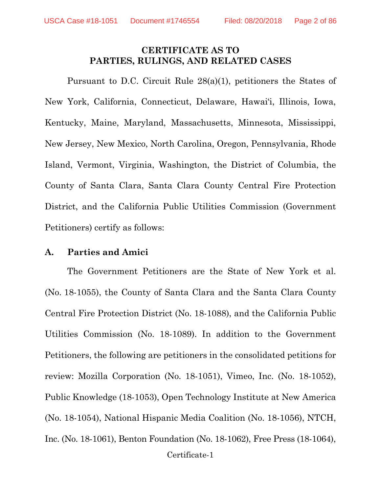#### **CERTIFICATE AS TO PARTIES, RULINGS, AND RELATED CASES**

Pursuant to D.C. Circuit Rule 28(a)(1), petitioners the States of New York, California, Connecticut, Delaware, Hawai'i, Illinois, Iowa, Kentucky, Maine, Maryland, Massachusetts, Minnesota, Mississippi, New Jersey, New Mexico, North Carolina, Oregon, Pennsylvania, Rhode Island, Vermont, Virginia, Washington, the District of Columbia, the County of Santa Clara, Santa Clara County Central Fire Protection District, and the California Public Utilities Commission (Government Petitioners) certify as follows:

#### **A. Parties and Amici**

Certificate-1 The Government Petitioners are the State of New York et al. (No. 18-1055), the County of Santa Clara and the Santa Clara County Central Fire Protection District (No. 18-1088), and the California Public Utilities Commission (No. 18-1089). In addition to the Government Petitioners, the following are petitioners in the consolidated petitions for review: Mozilla Corporation (No. 18-1051), Vimeo, Inc. (No. 18-1052), Public Knowledge (18-1053), Open Technology Institute at New America (No. 18-1054), National Hispanic Media Coalition (No. 18-1056), NTCH, Inc. (No. 18-1061), Benton Foundation (No. 18-1062), Free Press (18-1064),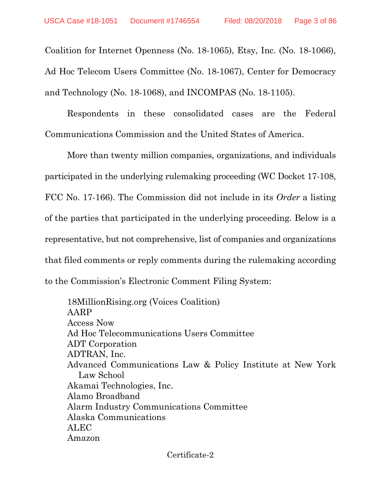Coalition for Internet Openness (No. 18-1065), Etsy, Inc. (No. 18-1066), Ad Hoc Telecom Users Committee (No. 18-1067), Center for Democracy and Technology (No. 18-1068), and INCOMPAS (No. 18-1105).

Respondents in these consolidated cases are the Federal Communications Commission and the United States of America.

More than twenty million companies, organizations, and individuals participated in the underlying rulemaking proceeding (WC Docket 17-108, FCC No. 17-166). The Commission did not include in its *Order* a listing of the parties that participated in the underlying proceeding. Below is a representative, but not comprehensive, list of companies and organizations that filed comments or reply comments during the rulemaking according to the Commission's Electronic Comment Filing System:

18MillionRising.org (Voices Coalition) AARP Access Now Ad Hoc Telecommunications Users Committee ADT Corporation ADTRAN, Inc. Advanced Communications Law & Policy Institute at New York Law School Akamai Technologies, Inc. Alamo Broadband Alarm Industry Communications Committee Alaska Communications ALEC Amazon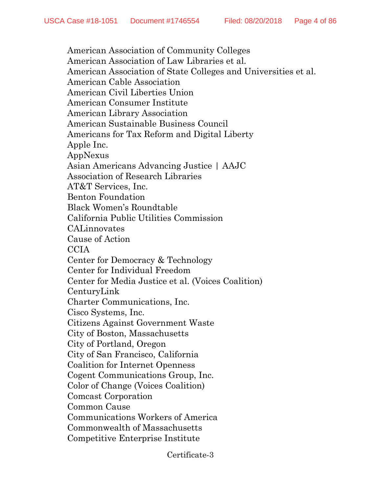American Association of Community Colleges American Association of Law Libraries et al. American Association of State Colleges and Universities et al. American Cable Association American Civil Liberties Union American Consumer Institute American Library Association American Sustainable Business Council Americans for Tax Reform and Digital Liberty Apple Inc. AppNexus Asian Americans Advancing Justice | AAJC Association of Research Libraries AT&T Services, Inc. Benton Foundation Black Women's Roundtable California Public Utilities Commission CALinnovates Cause of Action CCIA Center for Democracy & Technology Center for Individual Freedom Center for Media Justice et al. (Voices Coalition) CenturyLink Charter Communications, Inc. Cisco Systems, Inc. Citizens Against Government Waste City of Boston, Massachusetts City of Portland, Oregon City of San Francisco, California Coalition for Internet Openness Cogent Communications Group, Inc. Color of Change (Voices Coalition) Comcast Corporation Common Cause Communications Workers of America Commonwealth of Massachusetts Competitive Enterprise Institute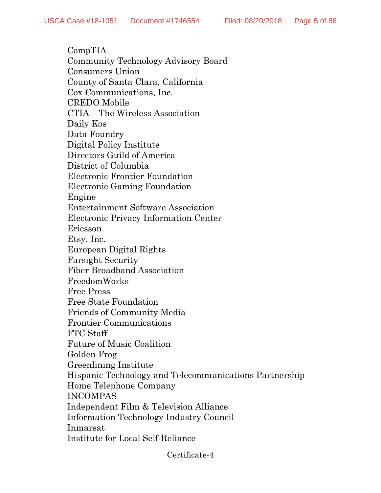CompTIA Community Technology Advisory Board Consumers Union County of Santa Clara, California Cox Communications, Inc. CREDO Mobile CTIA – The Wireless Association Daily Kos Data Foundry Digital Policy Institute Directors Guild of America District of Columbia Electronic Frontier Foundation Electronic Gaming Foundation Engine Entertainment Software Association Electronic Privacy Information Center Ericsson Etsy, Inc. European Digital Rights Farsight Security Fiber Broadband Association FreedomWorks Free Press Free State Foundation Friends of Community Media Frontier Communications FTC Staff Future of Music Coalition Golden Frog Greenlining Institute Hispanic Technology and Telecommunications Partnership Home Telephone Company INCOMPAS Independent Film & Television Alliance Information Technology Industry Council Inmarsat Institute for Local Self-Reliance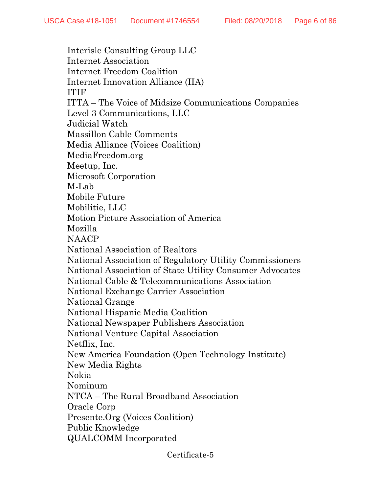Interisle Consulting Group LLC Internet Association Internet Freedom Coalition Internet Innovation Alliance (IIA) ITIF ITTA – The Voice of Midsize Communications Companies Level 3 Communications, LLC Judicial Watch Massillon Cable Comments Media Alliance (Voices Coalition) MediaFreedom.org Meetup, Inc. Microsoft Corporation M-Lab Mobile Future Mobilitie, LLC Motion Picture Association of America Mozilla NAACP National Association of Realtors National Association of Regulatory Utility Commissioners National Association of State Utility Consumer Advocates National Cable & Telecommunications Association National Exchange Carrier Association National Grange National Hispanic Media Coalition National Newspaper Publishers Association National Venture Capital Association Netflix, Inc. New America Foundation (Open Technology Institute) New Media Rights Nokia Nominum NTCA – The Rural Broadband Association Oracle Corp Presente.Org (Voices Coalition) Public Knowledge QUALCOMM Incorporated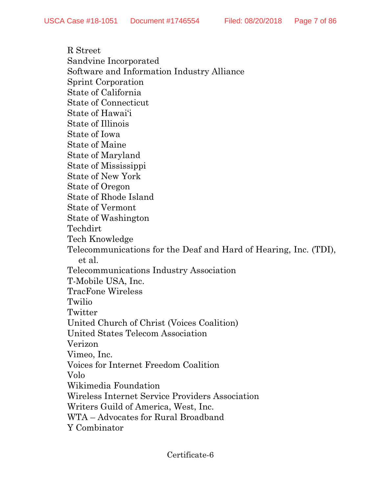R Street Sandvine Incorporated Software and Information Industry Alliance Sprint Corporation State of California State of Connecticut State of Hawai'i State of Illinois State of Iowa State of Maine State of Maryland State of Mississippi State of New York State of Oregon State of Rhode Island State of Vermont State of Washington Techdirt Tech Knowledge Telecommunications for the Deaf and Hard of Hearing, Inc. (TDI), et al. Telecommunications Industry Association T-Mobile USA, Inc. TracFone Wireless Twilio Twitter United Church of Christ (Voices Coalition) United States Telecom Association Verizon Vimeo, Inc. Voices for Internet Freedom Coalition Volo Wikimedia Foundation Wireless Internet Service Providers Association Writers Guild of America, West, Inc. WTA – Advocates for Rural Broadband Y Combinator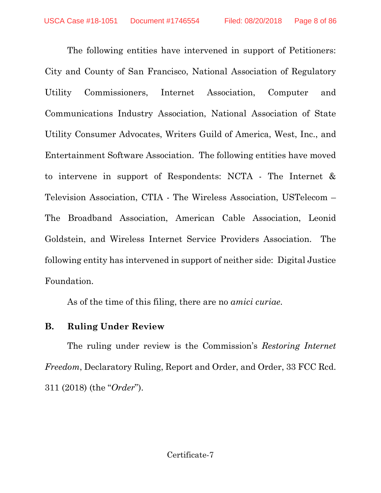The following entities have intervened in support of Petitioners: City and County of San Francisco, National Association of Regulatory Utility Commissioners, Internet Association, Computer and Communications Industry Association, National Association of State Utility Consumer Advocates, Writers Guild of America, West, Inc., and Entertainment Software Association. The following entities have moved to intervene in support of Respondents: NCTA - The Internet & Television Association, CTIA - The Wireless Association, USTelecom – The Broadband Association, American Cable Association, Leonid Goldstein, and Wireless Internet Service Providers Association. The following entity has intervened in support of neither side: Digital Justice Foundation.

As of the time of this filing, there are no *amici curiae*.

### **B. Ruling Under Review**

The ruling under review is the Commission's *Restoring Internet Freedom*, Declaratory Ruling, Report and Order, and Order, 33 FCC Rcd. 311 (2018) (the "*Order*").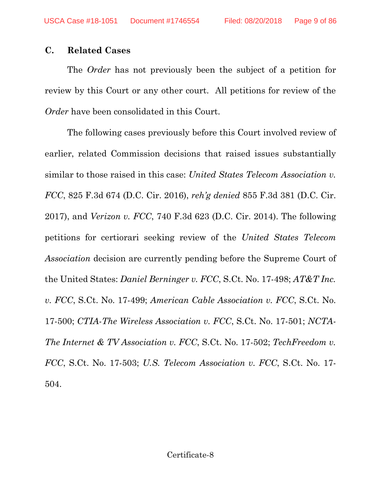### **C. Related Cases**

The *Order* has not previously been the subject of a petition for review by this Court or any other court. All petitions for review of the *Order* have been consolidated in this Court.

The following cases previously before this Court involved review of earlier, related Commission decisions that raised issues substantially similar to those raised in this case: *United States Telecom Association v. FCC*, 825 F.3d 674 (D.C. Cir. 2016), *reh'g denied* 855 F.3d 381 (D.C. Cir. 2017), and *Verizon v. FCC*, 740 F.3d 623 (D.C. Cir. 2014). The following petitions for certiorari seeking review of the *United States Telecom Association* decision are currently pending before the Supreme Court of the United States: *Daniel Berninger v. FCC*, S.Ct. No. 17-498; *AT&T Inc. v. FCC*, S.Ct. No. 17-499; *American Cable Association v. FCC*, S.Ct. No. 17-500; *CTIA-The Wireless Association v. FCC*, S.Ct. No. 17-501; *NCTA-The Internet & TV Association v. FCC*, S.Ct. No. 17-502; *TechFreedom v. FCC*, S.Ct. No. 17-503; *U.S. Telecom Association v. FCC*, S.Ct. No. 17- 504.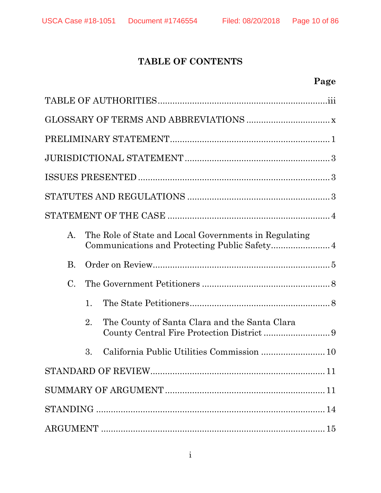### **TABLE OF CONTENTS**

# **Page**

|                 |    | $\begin{minipage}{.4\linewidth} \textbf{STATUTES AND REGULATIONS} \end{minipage} \begin{minipage}{.4\linewidth} \textbf{3} \end{minipage} \begin{minipage}{.4\linewidth} \textbf{5} \end{minipage} \begin{minipage}{.4\linewidth} \textbf{6} \end{minipage} \begin{minipage}{.4\linewidth} \textbf{6} \end{minipage} \begin{minipage}{.4\linewidth} \textbf{6} \end{minipage} \begin{minipage}{.4\linewidth} \textbf{7} \end{minipage} \begin{minipage}{.4\linewidth} \textbf{7} \end{minipage} \begin{minipage}{.4\linewidth} \text$ |    |
|-----------------|----|---------------------------------------------------------------------------------------------------------------------------------------------------------------------------------------------------------------------------------------------------------------------------------------------------------------------------------------------------------------------------------------------------------------------------------------------------------------------------------------------------------------------------------------|----|
|                 |    |                                                                                                                                                                                                                                                                                                                                                                                                                                                                                                                                       |    |
| $A_{\cdot}$     |    | The Role of State and Local Governments in Regulating                                                                                                                                                                                                                                                                                                                                                                                                                                                                                 |    |
| <b>B.</b>       |    |                                                                                                                                                                                                                                                                                                                                                                                                                                                                                                                                       |    |
| $\mathcal{C}$ . |    |                                                                                                                                                                                                                                                                                                                                                                                                                                                                                                                                       |    |
|                 | 1. |                                                                                                                                                                                                                                                                                                                                                                                                                                                                                                                                       |    |
|                 | 2. | The County of Santa Clara and the Santa Clara                                                                                                                                                                                                                                                                                                                                                                                                                                                                                         |    |
|                 | 3. | California Public Utilities Commission  10                                                                                                                                                                                                                                                                                                                                                                                                                                                                                            |    |
|                 |    | STANDARD OF REVIEW.                                                                                                                                                                                                                                                                                                                                                                                                                                                                                                                   | 11 |
|                 |    |                                                                                                                                                                                                                                                                                                                                                                                                                                                                                                                                       |    |
|                 |    |                                                                                                                                                                                                                                                                                                                                                                                                                                                                                                                                       |    |
|                 |    |                                                                                                                                                                                                                                                                                                                                                                                                                                                                                                                                       |    |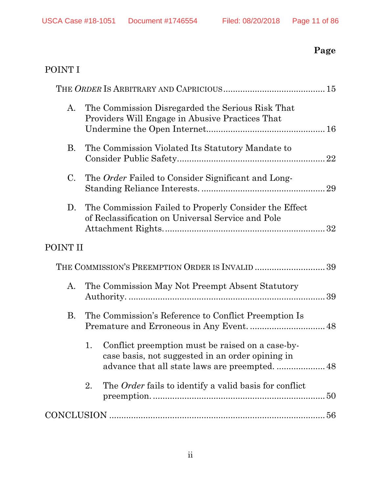# **Page**

# P[OINT I](#page-34-1)

| A.          | The Commission Disregarded the Serious Risk That<br>Providers Will Engage in Abusive Practices That        |  |
|-------------|------------------------------------------------------------------------------------------------------------|--|
| <b>B.</b>   | The Commission Violated Its Statutory Mandate to                                                           |  |
| $C_{\cdot}$ | The Order Failed to Consider Significant and Long-                                                         |  |
| D.          | The Commission Failed to Properly Consider the Effect<br>of Reclassification on Universal Service and Pole |  |
| POINT II    |                                                                                                            |  |
|             | THE COMMISSION'S PREEMPTION ORDER IS INVALID  39                                                           |  |
| A.          | The Commission May Not Preempt Absent Statutory                                                            |  |
| <b>B.</b>   | The Commission's Reference to Conflict Preemption Is                                                       |  |
|             | Conflict preemption must be raised on a case-by-<br>1.<br>case basis, not suggested in an order opining in |  |
|             | The <i>Order</i> fails to identify a valid basis for conflict<br>2.                                        |  |
|             |                                                                                                            |  |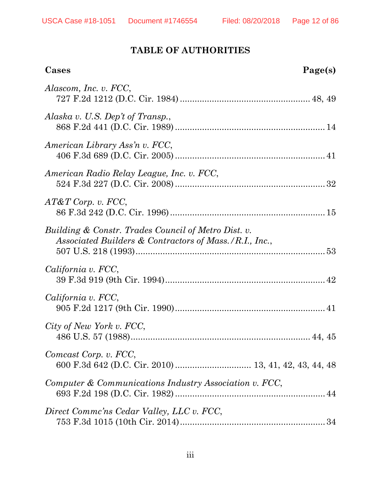### **TABLE OF AUTHORITIES**

<span id="page-11-0"></span>

| Cases                                                                                                         | Page(s) |
|---------------------------------------------------------------------------------------------------------------|---------|
| Alascom, Inc. v. FCC,                                                                                         |         |
| Alaska v. U.S. Dep't of Transp.,                                                                              |         |
| American Library Ass'n v. FCC,                                                                                |         |
| American Radio Relay League, Inc. v. FCC,                                                                     |         |
| $AT\&T$ Corp. v. FCC,                                                                                         |         |
| Building & Constr. Trades Council of Metro Dist. v.<br>Associated Builders & Contractors of Mass./R.I., Inc., |         |
| California v. FCC,                                                                                            |         |
| California v. FCC,                                                                                            |         |
| City of New York v. FCC,                                                                                      |         |
| Comcast Corp. v. FCC,                                                                                         |         |
| Computer & Communications Industry Association v. FCC,                                                        |         |
| Direct Commc'ns Cedar Valley, LLC v. FCC,                                                                     |         |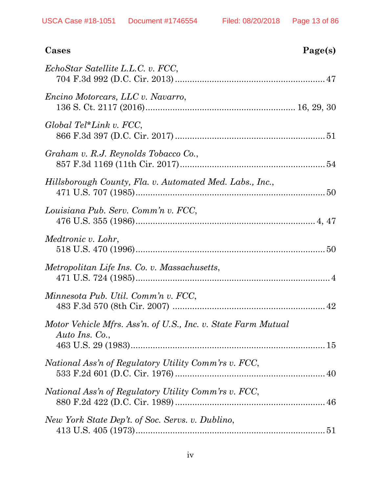| Cases                                                                           | Page(s) |
|---------------------------------------------------------------------------------|---------|
| EchoStar Satellite L.L.C. v. FCC,                                               |         |
| <i>Encino Motorcars, LLC v. Navarro,</i>                                        |         |
| $Global Tel*Link v. FCC,$                                                       |         |
| Graham v. R.J. Reynolds Tobacco Co.,                                            |         |
| Hillsborough County, Fla. v. Automated Med. Labs., Inc.,                        |         |
| Louisiana Pub. Serv. Comm'n v. FCC,                                             |         |
| Medtronic v. Lohr,                                                              |         |
| Metropolitan Life Ins. Co. v. Massachusetts,                                    |         |
| Minnesota Pub. Util. Comm'n v. FCC,                                             |         |
| Motor Vehicle Mfrs. Ass'n. of U.S., Inc. v. State Farm Mutual<br>Auto Ins. Co., |         |
| National Ass'n of Regulatory Utility Comm'rs v. FCC,                            |         |
| National Ass'n of Regulatory Utility Comm'rs v. FCC,                            |         |
| New York State Dep't. of Soc. Servs. v. Dublino,                                |         |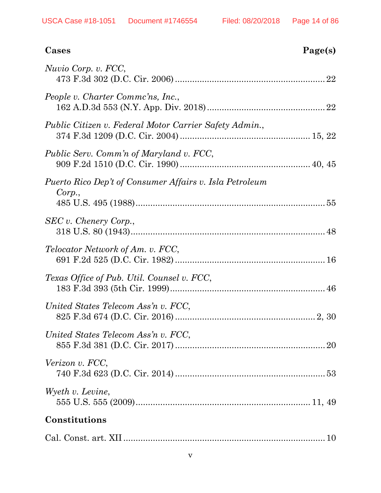| Cases                                                             | Page(s) |
|-------------------------------------------------------------------|---------|
| Nuvio Corp. v. FCC,                                               |         |
| People v. Charter Commc'ns, Inc.,                                 |         |
| Public Citizen v. Federal Motor Carrier Safety Admin.,            |         |
| Public Serv. Comm'n of Maryland v. FCC,                           |         |
| Puerto Rico Dep't of Consumer Affairs v. Isla Petroleum<br>Corp., |         |
| SEC v. Chenery Corp.,                                             |         |
| <i>Telocator Network of Am. v. FCC,</i>                           |         |
| Texas Office of Pub. Util. Counsel v. FCC,                        |         |
| United States Telecom Ass'n v. FCC,                               |         |
| United States Telecom Ass'n v. FCC,                               |         |
| Verizon v. FCC,                                                   |         |
| Wyeth v. Levine,                                                  |         |
| Constitutions                                                     |         |
|                                                                   |         |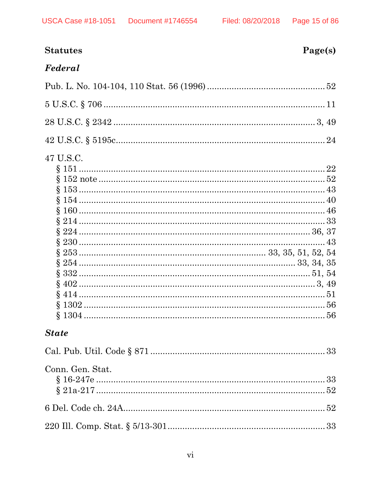| <b>Statutes</b>  | Page(s) |
|------------------|---------|
| Federal          |         |
|                  |         |
|                  |         |
|                  |         |
|                  |         |
| 47 U.S.C.        |         |
| <b>State</b>     |         |
|                  |         |
| Conn. Gen. Stat. |         |
|                  |         |
|                  |         |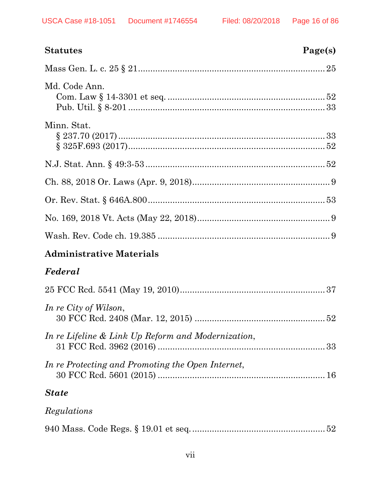| Statutes                                           | Page(s) |
|----------------------------------------------------|---------|
|                                                    |         |
| Md. Code Ann.                                      |         |
| Minn. Stat.                                        |         |
|                                                    |         |
|                                                    |         |
|                                                    |         |
|                                                    |         |
|                                                    |         |
| Administrative Materials                           |         |
| Federal                                            |         |
|                                                    |         |
| In re City of Wilson,                              |         |
| In re Lifeline & Link Up Reform and Modernization, |         |
| In re Protecting and Promoting the Open Internet,  |         |

### *State*

### *Regulations*

|--|--|--|--|--|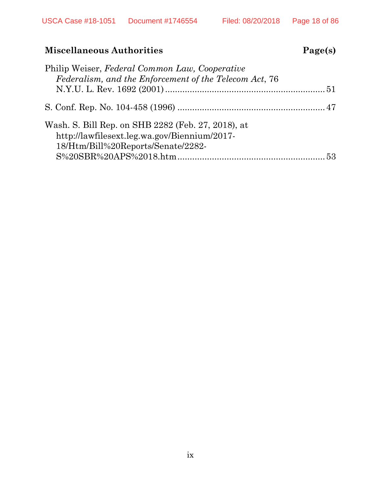### **Miscellaneous Authorities**

| σρι<br>. . | s |
|------------|---|
|            |   |

| Philip Weiser, Federal Common Law, Cooperative                                                                                           |  |
|------------------------------------------------------------------------------------------------------------------------------------------|--|
| Federalism, and the Enforcement of the Telecom Act, 76                                                                                   |  |
|                                                                                                                                          |  |
| Wash, S. Bill Rep. on SHB 2282 (Feb. 27, 2018), at<br>http://lawfilesext.leg.wa.gov/Biennium/2017-<br>18/Htm/Bill%20Reports/Senate/2282- |  |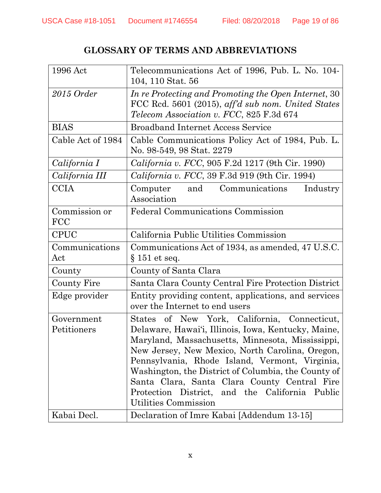### **GLOSSARY OF TERMS AND ABBREVIATIONS**

<span id="page-18-0"></span>

| 1996 Act                                 | Telecommunications Act of 1996, Pub. L. No. 104-<br>104, 110 Stat. 56                                                                                                                                                                                                                                                                                                                                                                            |
|------------------------------------------|--------------------------------------------------------------------------------------------------------------------------------------------------------------------------------------------------------------------------------------------------------------------------------------------------------------------------------------------------------------------------------------------------------------------------------------------------|
| 2015 Order                               | In re Protecting and Promoting the Open Internet, 30<br>FCC Rcd. 5601 (2015), aff'd sub nom. United States<br><i>Telecom Association v. FCC, 825 F.3d 674</i>                                                                                                                                                                                                                                                                                    |
| <b>BIAS</b>                              | <b>Broadband Internet Access Service</b>                                                                                                                                                                                                                                                                                                                                                                                                         |
| Cable Act of 1984                        | Cable Communications Policy Act of 1984, Pub. L.<br>No. 98-549, 98 Stat. 2279                                                                                                                                                                                                                                                                                                                                                                    |
| California I                             | <i>California v. FCC</i> , 905 F.2d 1217 (9th Cir. 1990)                                                                                                                                                                                                                                                                                                                                                                                         |
| California III                           | <i>California v. FCC</i> , 39 F.3d 919 (9th Cir. 1994)                                                                                                                                                                                                                                                                                                                                                                                           |
| CCIA                                     | Communications<br>Industry<br>Computer<br>and<br>Association                                                                                                                                                                                                                                                                                                                                                                                     |
| Commission or<br><b>FCC</b>              | Federal Communications Commission                                                                                                                                                                                                                                                                                                                                                                                                                |
| <b>CPUC</b>                              | California Public Utilities Commission                                                                                                                                                                                                                                                                                                                                                                                                           |
| Communications<br>Act                    | Communications Act of 1934, as amended, 47 U.S.C.<br>$\S 151$ et seq.                                                                                                                                                                                                                                                                                                                                                                            |
| County                                   | County of Santa Clara                                                                                                                                                                                                                                                                                                                                                                                                                            |
| County Fire                              | Santa Clara County Central Fire Protection District                                                                                                                                                                                                                                                                                                                                                                                              |
| Edge provider                            | Entity providing content, applications, and services<br>over the Internet to end users                                                                                                                                                                                                                                                                                                                                                           |
| Government<br>Petitioners<br>Kabai Decl. | of New York, California, Connecticut,<br>States<br>Delaware, Hawai'i, Illinois, Iowa, Kentucky, Maine,<br>Maryland, Massachusetts, Minnesota, Mississippi,<br>New Jersey, New Mexico, North Carolina, Oregon,<br>Pennsylvania, Rhode Island, Vermont, Virginia,<br>Washington, the District of Columbia, the County of<br>Santa Clara, Santa Clara County Central Fire<br>Protection District, and the California Public<br>Utilities Commission |
|                                          | Declaration of Imre Kabai [Addendum 13-15]                                                                                                                                                                                                                                                                                                                                                                                                       |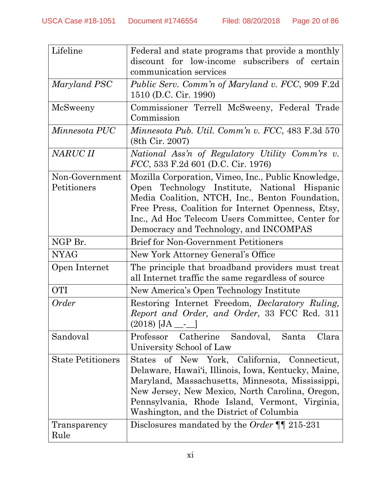| Lifeline                      | Federal and state programs that provide a monthly<br>discount for low-income subscribers of certain<br>communication services                                                                                                                                                                              |
|-------------------------------|------------------------------------------------------------------------------------------------------------------------------------------------------------------------------------------------------------------------------------------------------------------------------------------------------------|
| Maryland PSC                  | <i>Public Serv. Comm'n of Maryland v. FCC, 909 F.2d</i><br>1510 (D.C. Cir. 1990)                                                                                                                                                                                                                           |
| McSweeny                      | Commissioner Terrell McSweeny, Federal Trade<br>Commission                                                                                                                                                                                                                                                 |
| Minnesota PUC                 | Minnesota Pub. Util. Comm'n v. FCC, 483 F.3d 570<br>(8th Cir. 2007)                                                                                                                                                                                                                                        |
| NARUC II                      | National Ass'n of Regulatory Utility Comm'rs v.<br>$FCC$ , 533 F.2d 601 (D.C. Cir. 1976)                                                                                                                                                                                                                   |
| Non-Government<br>Petitioners | Mozilla Corporation, Vimeo, Inc., Public Knowledge,<br>Open Technology Institute, National Hispanic<br>Media Coalition, NTCH, Inc., Benton Foundation,<br>Free Press, Coalition for Internet Openness, Etsy,<br>Inc., Ad Hoc Telecom Users Committee, Center for<br>Democracy and Technology, and INCOMPAS |
| NGP Br.                       | <b>Brief for Non-Government Petitioners</b>                                                                                                                                                                                                                                                                |
| <b>NYAG</b>                   | New York Attorney General's Office                                                                                                                                                                                                                                                                         |
| Open Internet                 | The principle that broadband providers must treat<br>all Internet traffic the same regardless of source                                                                                                                                                                                                    |
| <b>OTI</b>                    | New America's Open Technology Institute                                                                                                                                                                                                                                                                    |
| Order                         | Restoring Internet Freedom, <i>Declaratory Ruling</i> ,<br>Report and Order, and Order, 33 FCC Rcd. 311<br>(2018) [JA __-_                                                                                                                                                                                 |
| Sandoval                      | Catherine<br>Professor<br>Sandoval,<br>Santa<br>Clara<br>University School of Law                                                                                                                                                                                                                          |
| <b>State Petitioners</b>      | States of New York, California, Connecticut,<br>Delaware, Hawai'i, Illinois, Iowa, Kentucky, Maine,<br>Maryland, Massachusetts, Minnesota, Mississippi,<br>New Jersey, New Mexico, North Carolina, Oregon,<br>Pennsylvania, Rhode Island, Vermont, Virginia,<br>Washington, and the District of Columbia   |
| Transparency<br>Rule          | Disclosures mandated by the <i>Order</i> $\P$ 215-231                                                                                                                                                                                                                                                      |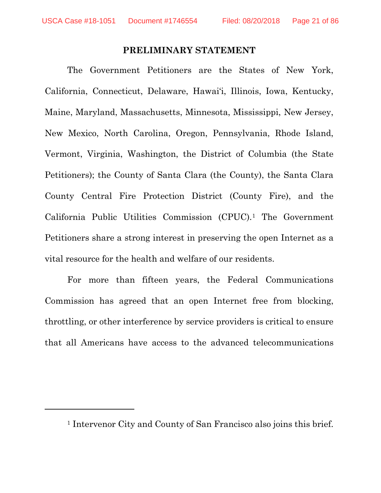<span id="page-20-1"></span> $\overline{a}$ 

#### **PRELIMINARY STATEMENT**

<span id="page-20-0"></span>The Government Petitioners are the States of New York, California, Connecticut, Delaware, Hawai'i, Illinois, Iowa, Kentucky, Maine, Maryland, Massachusetts, Minnesota, Mississippi, New Jersey, New Mexico, North Carolina, Oregon, Pennsylvania, Rhode Island, Vermont, Virginia, Washington, the District of Columbia (the State Petitioners); the County of Santa Clara (the County), the Santa Clara County Central Fire Protection District (County Fire), and the California Public Utilities Commission (CPUC)[.1](#page-20-1) The Government Petitioners share a strong interest in preserving the open Internet as a vital resource for the health and welfare of our residents.

For more than fifteen years, the Federal Communications Commission has agreed that an open Internet free from blocking, throttling, or other interference by service providers is critical to ensure that all Americans have access to the advanced telecommunications

<sup>1</sup> Intervenor City and County of San Francisco also joins this brief.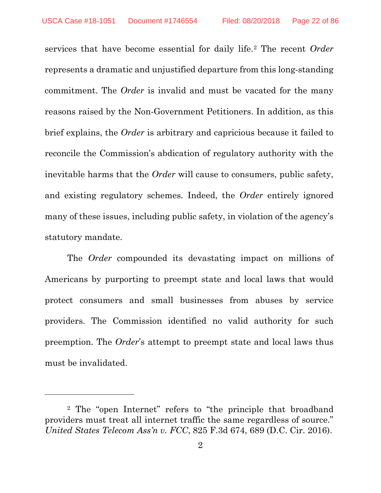services that have become essential for daily life.[2](#page-21-1) The recent *Order*  represents a dramatic and unjustified departure from this long-standing commitment. The *Order* is invalid and must be vacated for the many reasons raised by the Non-Government Petitioners. In addition, as this brief explains, the *Order* is arbitrary and capricious because it failed to reconcile the Commission's abdication of regulatory authority with the inevitable harms that the *Order* will cause to consumers, public safety, and existing regulatory schemes. Indeed, the *Order* entirely ignored many of these issues, including public safety, in violation of the agency's statutory mandate.

The *Order* compounded its devastating impact on millions of Americans by purporting to preempt state and local laws that would protect consumers and small businesses from abuses by service providers. The Commission identified no valid authority for such preemption. The *Order*'s attempt to preempt state and local laws thus must be invalidated.

 $\overline{a}$ 

<span id="page-21-1"></span><span id="page-21-0"></span><sup>2</sup> The "open Internet" refers to "the principle that broadband providers must treat all internet traffic the same regardless of source." *United States Telecom Ass'n v. FCC*, 825 F.3d 674, 689 (D.C. Cir. 2016).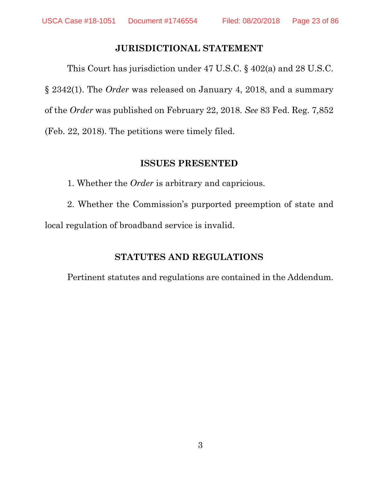#### <span id="page-22-4"></span><span id="page-22-3"></span>**JURISDICTIONAL STATEMENT**

<span id="page-22-0"></span>This Court has jurisdiction under 47 U.S.C. § 402(a) and 28 U.S.C. § 2342(1). The *Order* was released on January 4, 2018, and a summary of the *Order* was published on February 22, 2018. *See* 83 Fed. Reg. 7,852 (Feb. 22, 2018). The petitions were timely filed.

#### **ISSUES PRESENTED**

<span id="page-22-1"></span>1. Whether the *Order* is arbitrary and capricious.

<span id="page-22-2"></span>2. Whether the Commission's purported preemption of state and local regulation of broadband service is invalid.

#### **STATUTES AND REGULATIONS**

Pertinent statutes and regulations are contained in the Addendum.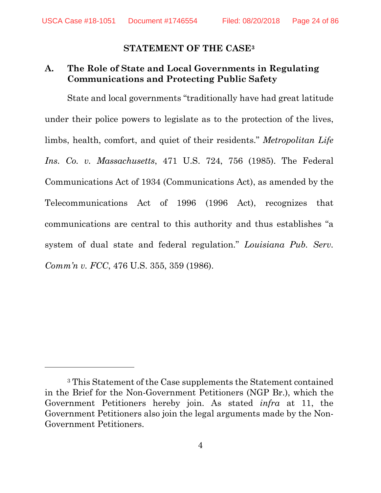$\overline{a}$ 

#### <span id="page-23-3"></span><span id="page-23-2"></span>**STATEMENT OF THE CASE[3](#page-23-4)**

### <span id="page-23-1"></span><span id="page-23-0"></span>**A. The Role of State and Local Governments in Regulating Communications and Protecting Public Safety**

State and local governments "traditionally have had great latitude under their police powers to legislate as to the protection of the lives, limbs, health, comfort, and quiet of their residents." *Metropolitan Life Ins. Co. v. Massachusetts*, 471 U.S. 724, 756 (1985). The Federal Communications Act of 1934 (Communications Act), as amended by the Telecommunications Act of 1996 (1996 Act), recognizes that communications are central to this authority and thus establishes "a system of dual state and federal regulation." *Louisiana Pub. Serv. Comm'n v. FCC*, 476 U.S. 355, 359 (1986).

<span id="page-23-4"></span><sup>3</sup> This Statement of the Case supplements the Statement contained in the Brief for the Non-Government Petitioners (NGP Br.), which the Government Petitioners hereby join. As stated *infra* at 11, the Government Petitioners also join the legal arguments made by the Non-Government Petitioners.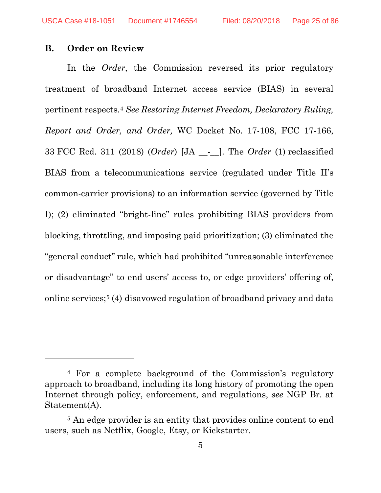#### <span id="page-24-0"></span>**B. Order on Review**

l

In the *Order*, the Commission reversed its prior regulatory treatment of broadband Internet access service (BIAS) in several pertinent respects.[4](#page-24-1) *See Restoring Internet Freedom, Declaratory Ruling, Report and Order, and Order,* WC Docket No. 17-108, FCC 17-166, 33 FCC Rcd. 311 (2018) (*Order*) [JA \_\_-\_\_]. The *Order* (1) reclassified BIAS from a telecommunications service (regulated under Title II's common-carrier provisions) to an information service (governed by Title I); (2) eliminated "bright-line" rules prohibiting BIAS providers from blocking, throttling, and imposing paid prioritization; (3) eliminated the "general conduct" rule, which had prohibited "unreasonable interference or disadvantage" to end users' access to, or edge providers' offering of, online services;[5](#page-24-2) (4) disavowed regulation of broadband privacy and data

<span id="page-24-1"></span><sup>4</sup> For a complete background of the Commission's regulatory approach to broadband, including its long history of promoting the open Internet through policy, enforcement, and regulations, *see* NGP Br. at Statement(A).

<span id="page-24-2"></span><sup>&</sup>lt;sup>5</sup> An edge provider is an entity that provides online content to end users, such as Netflix, Google, Etsy, or Kickstarter.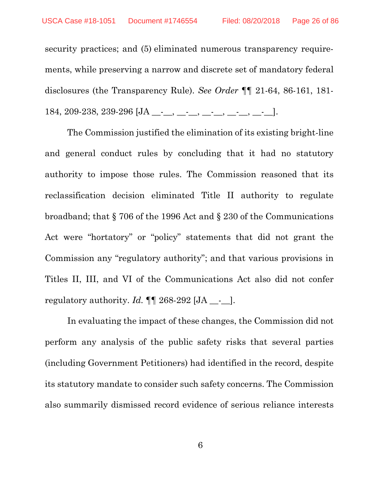security practices; and (5) eliminated numerous transparency requirements, while preserving a narrow and discrete set of mandatory federal disclosures (the Transparency Rule). *See Order* ¶¶ 21-64, 86-161, 181- 184, 209-238, 239-296 [JA \_\_-\_\_, \_\_-\_\_, \_\_-\_\_, \_\_-\_\_, \_\_-\_\_].

The Commission justified the elimination of its existing bright-line and general conduct rules by concluding that it had no statutory authority to impose those rules. The Commission reasoned that its reclassification decision eliminated Title II authority to regulate broadband; that § 706 of the 1996 Act and § 230 of the Communications Act were "hortatory" or "policy" statements that did not grant the Commission any "regulatory authority"; and that various provisions in Titles II, III, and VI of the Communications Act also did not confer regulatory authority.  $Id$ .  $\P\P$  268-292 [JA \_\_-\_].

In evaluating the impact of these changes, the Commission did not perform any analysis of the public safety risks that several parties (including Government Petitioners) had identified in the record, despite its statutory mandate to consider such safety concerns. The Commission also summarily dismissed record evidence of serious reliance interests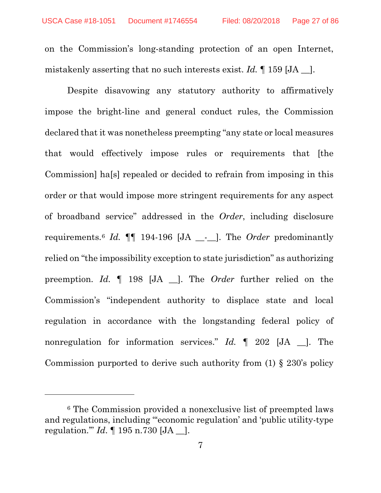on the Commission's long-standing protection of an open Internet, mistakenly asserting that no such interests exist. *Id.* ¶ 159 [JA \_\_].

Despite disavowing any statutory authority to affirmatively impose the bright-line and general conduct rules, the Commission declared that it was nonetheless preempting "any state or local measures that would effectively impose rules or requirements that [the Commission] ha[s] repealed or decided to refrain from imposing in this order or that would impose more stringent requirements for any aspect of broadband service" addressed in the *Order*, including disclosure requirements.[6](#page-26-0) *Id.* ¶¶ 194-196 [JA \_\_-\_\_]. The *Order* predominantly relied on "the impossibility exception to state jurisdiction" as authorizing preemption. *Id.* ¶ 198 [JA \_\_]. The *Order* further relied on the Commission's "independent authority to displace state and local regulation in accordance with the longstanding federal policy of nonregulation for information services." *Id.* ¶ 202 [JA \_\_]. The Commission purported to derive such authority from (1) § 230's policy

 $\overline{a}$ 

<span id="page-26-0"></span><sup>6</sup> The Commission provided a nonexclusive list of preempted laws and regulations, including "'economic regulation' and 'public utility-type regulation.'" *Id*. ¶ 195 n.730 [JA \_\_].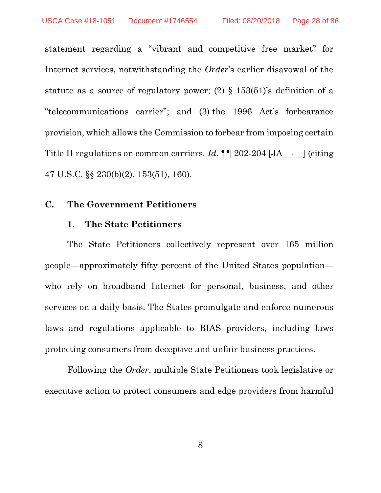statement regarding a "vibrant and competitive free market" for Internet services, notwithstanding the *Order*'s earlier disavowal of the statute as a source of regulatory power; (2)  $\S$  153(51)'s definition of a "telecommunications carrier"; and (3) the 1996 Act's forbearance provision, which allows the Commission to forbear from imposing certain Title II regulations on common carriers. *Id.*  $\P$  202-204 [JA\_-\_] (citing 47 U.S.C. §§ 230(b)(2), 153(51), 160).

#### <span id="page-27-1"></span><span id="page-27-0"></span>**C. The Government Petitioners**

#### **1. The State Petitioners**

The State Petitioners collectively represent over 165 million people—approximately fifty percent of the United States population who rely on broadband Internet for personal, business, and other services on a daily basis. The States promulgate and enforce numerous laws and regulations applicable to BIAS providers, including laws protecting consumers from deceptive and unfair business practices.

Following the *Order*, multiple State Petitioners took legislative or executive action to protect consumers and edge providers from harmful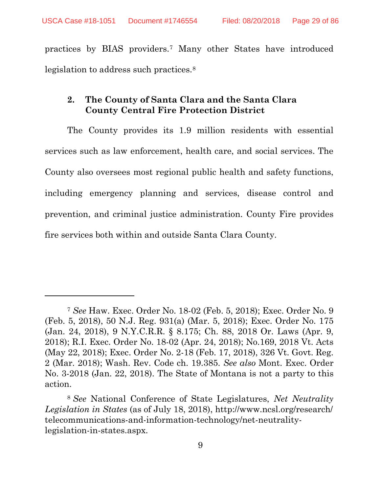<span id="page-28-6"></span><span id="page-28-5"></span> $\overline{a}$ 

practices by BIAS providers.[7](#page-28-11) Many other States have introduced legislation to address such practices[.8](#page-28-12)

#### <span id="page-28-0"></span>**2. The County of Santa Clara and the Santa Clara County Central Fire Protection District**

The County provides its 1.9 million residents with essential services such as law enforcement, health care, and social services. The County also oversees most regional public health and safety functions, including emergency planning and services, disease control and prevention, and criminal justice administration. County Fire provides fire services both within and outside Santa Clara County.

<span id="page-28-11"></span><span id="page-28-9"></span><span id="page-28-7"></span><span id="page-28-4"></span><span id="page-28-2"></span><span id="page-28-1"></span><sup>7</sup> *See* Haw. Exec. Order No. 18-02 (Feb. 5, 2018); Exec. Order No. 9 (Feb. 5, 2018), 50 N.J. Reg. 931(a) (Mar. 5, 2018); Exec. Order No. 175 (Jan. 24, 2018), 9 N.Y.C.R.R. § 8.175; Ch. 88, 2018 Or. Laws (Apr. 9, 2018); R.I. Exec. Order No. 18-02 (Apr. 24, 2018); No.169, 2018 Vt. Acts (May 22, 2018); Exec. Order No. 2-18 (Feb. 17, 2018), 326 Vt. Govt. Reg. 2 (Mar. 2018); Wash. Rev. Code ch. 19.385. *See also* Mont. Exec. Order No. 3-2018 (Jan. 22, 2018). The State of Montana is not a party to this action.

<span id="page-28-12"></span><span id="page-28-10"></span><span id="page-28-8"></span><span id="page-28-3"></span><sup>8</sup> *See* National Conference of State Legislatures, *Net Neutrality Legislation in States* (as of July 18, 2018), [http://www.ncsl.org/research/](http://www.ncsl.org/research/telecommunications-and-information-technology/net-neutrality-legislation-in-states.aspx) [telecommunications-and-information-technology/net-neutrality](http://www.ncsl.org/research/telecommunications-and-information-technology/net-neutrality-legislation-in-states.aspx)[legislation-in-states.aspx.](http://www.ncsl.org/research/telecommunications-and-information-technology/net-neutrality-legislation-in-states.aspx)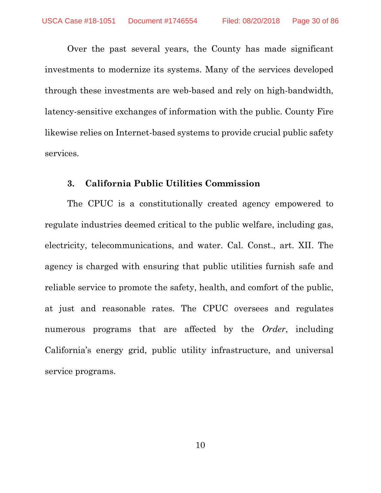Over the past several years, the County has made significant investments to modernize its systems. Many of the services developed through these investments are web-based and rely on high-bandwidth, latency-sensitive exchanges of information with the public. County Fire likewise relies on Internet-based systems to provide crucial public safety services.

#### <span id="page-29-1"></span><span id="page-29-0"></span>**3. California Public Utilities Commission**

The CPUC is a constitutionally created agency empowered to regulate industries deemed critical to the public welfare, including gas, electricity, telecommunications, and water. Cal. Const., art. XII. The agency is charged with ensuring that public utilities furnish safe and reliable service to promote the safety, health, and comfort of the public, at just and reasonable rates. The CPUC oversees and regulates numerous programs that are affected by the *Order*, including California's energy grid, public utility infrastructure, and universal service programs.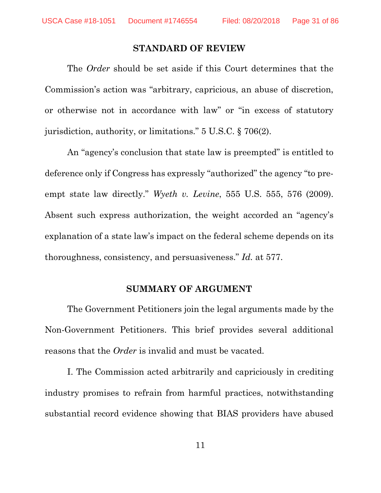#### <span id="page-30-3"></span>**STANDARD OF REVIEW**

<span id="page-30-0"></span>The *Order* should be set aside if this Court determines that the Commission's action was "arbitrary, capricious, an abuse of discretion, or otherwise not in accordance with law" or "in excess of statutory jurisdiction, authority, or limitations." 5 U.S.C. § 706(2).

An "agency's conclusion that state law is preempted" is entitled to deference only if Congress has expressly "authorized" the agency "to preempt state law directly." *Wyeth v. Levine*, 555 U.S. 555, 576 (2009). Absent such express authorization, the weight accorded an "agency's explanation of a state law's impact on the federal scheme depends on its thoroughness, consistency, and persuasiveness." *Id.* at 577.

#### <span id="page-30-2"></span>**SUMMARY OF ARGUMENT**

<span id="page-30-1"></span>The Government Petitioners join the legal arguments made by the Non-Government Petitioners. This brief provides several additional reasons that the *Order* is invalid and must be vacated.

I. The Commission acted arbitrarily and capriciously in crediting industry promises to refrain from harmful practices, notwithstanding substantial record evidence showing that BIAS providers have abused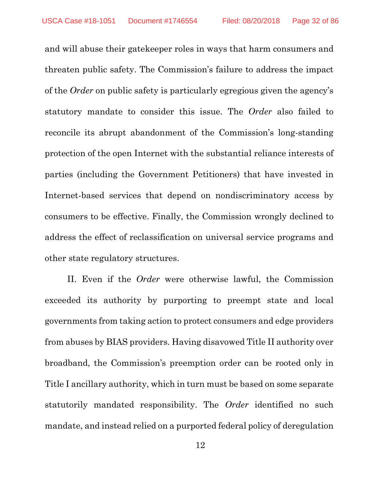and will abuse their gatekeeper roles in ways that harm consumers and threaten public safety. The Commission's failure to address the impact of the *Order* on public safety is particularly egregious given the agency's statutory mandate to consider this issue. The *Order* also failed to reconcile its abrupt abandonment of the Commission's long-standing protection of the open Internet with the substantial reliance interests of parties (including the Government Petitioners) that have invested in Internet-based services that depend on nondiscriminatory access by consumers to be effective. Finally, the Commission wrongly declined to address the effect of reclassification on universal service programs and other state regulatory structures.

II. Even if the *Order* were otherwise lawful, the Commission exceeded its authority by purporting to preempt state and local governments from taking action to protect consumers and edge providers from abuses by BIAS providers. Having disavowed Title II authority over broadband, the Commission's preemption order can be rooted only in Title I ancillary authority, which in turn must be based on some separate statutorily mandated responsibility. The *Order* identified no such mandate, and instead relied on a purported federal policy of deregulation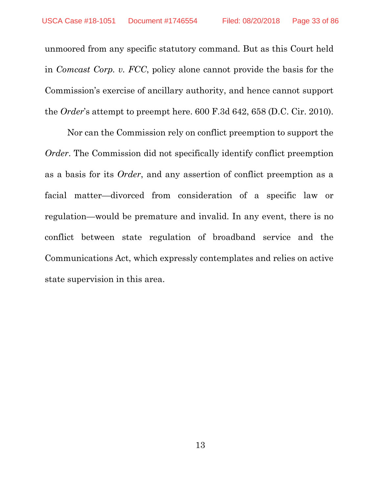<span id="page-32-0"></span>unmoored from any specific statutory command. But as this Court held in *Comcast Corp. v. FCC*, policy alone cannot provide the basis for the Commission's exercise of ancillary authority, and hence cannot support the *Order*'s attempt to preempt here. 600 F.3d 642, 658 (D.C. Cir. 2010).

Nor can the Commission rely on conflict preemption to support the *Order*. The Commission did not specifically identify conflict preemption as a basis for its *Order*, and any assertion of conflict preemption as a facial matter—divorced from consideration of a specific law or regulation—would be premature and invalid. In any event, there is no conflict between state regulation of broadband service and the Communications Act, which expressly contemplates and relies on active state supervision in this area.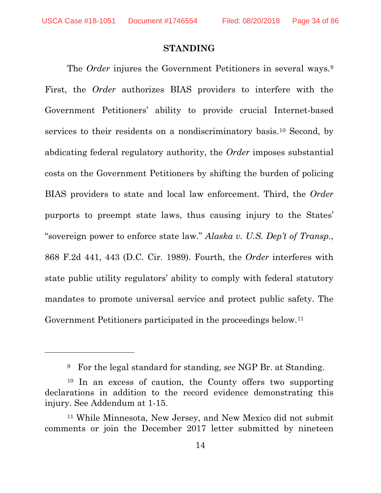$\overline{a}$ 

#### <span id="page-33-1"></span>**STANDING**

<span id="page-33-0"></span>The *Order* injures the Government Petitioners in several ways.<sup>[9](#page-33-2)</sup> First, the *Order* authorizes BIAS providers to interfere with the Government Petitioners' ability to provide crucial Internet-based services to their residents on a nondiscriminatory basis.[10](#page-33-3) Second, by abdicating federal regulatory authority, the *Order* imposes substantial costs on the Government Petitioners by shifting the burden of policing BIAS providers to state and local law enforcement. Third, the *Order*  purports to preempt state laws, thus causing injury to the States' "sovereign power to enforce state law." *Alaska v. U.S. Dep't of Transp.*, 868 F.2d 441, 443 (D.C. Cir. 1989). Fourth, the *Order* interferes with state public utility regulators' ability to comply with federal statutory mandates to promote universal service and protect public safety. The Government Petitioners participated in the proceedings below.<sup>[11](#page-33-4)</sup>

<sup>9</sup> For the legal standard for standing, *see* NGP Br. at Standing.

<span id="page-33-3"></span><span id="page-33-2"></span><sup>10</sup> In an excess of caution, the County offers two supporting declarations in addition to the record evidence demonstrating this injury. See Addendum at 1-15.

<span id="page-33-4"></span><sup>11</sup> While Minnesota, New Jersey, and New Mexico did not submit comments or join the December 2017 letter submitted by nineteen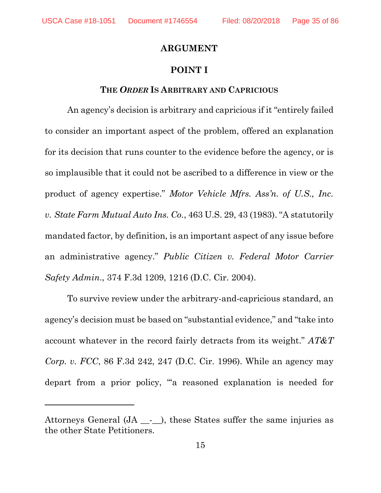l

#### **ARGUMENT**

#### <span id="page-34-3"></span>**POINT I**

#### **THE** *ORDER* **IS ARBITRARY AND CAPRICIOUS**

<span id="page-34-1"></span><span id="page-34-0"></span>An agency's decision is arbitrary and capricious if it "entirely failed to consider an important aspect of the problem, offered an explanation for its decision that runs counter to the evidence before the agency, or is so implausible that it could not be ascribed to a difference in view or the product of agency expertise." *Motor Vehicle Mfrs. Ass'n. of U.S., Inc. v. State Farm Mutual Auto Ins. Co.*, 463 U.S. 29, 43 (1983). "A statutorily mandated factor, by definition, is an important aspect of any issue before an administrative agency." *Public Citizen v. Federal Motor Carrier Safety Admin*., 374 F.3d 1209, 1216 (D.C. Cir. 2004).

<span id="page-34-4"></span><span id="page-34-2"></span>To survive review under the arbitrary-and-capricious standard, an agency's decision must be based on "substantial evidence," and "take into account whatever in the record fairly detracts from its weight." *AT&T Corp. v. FCC*, 86 F.3d 242, 247 (D.C. Cir. 1996). While an agency may depart from a prior policy, "'a reasoned explanation is needed for

Attorneys General (JA - ), these States suffer the same injuries as the other State Petitioners.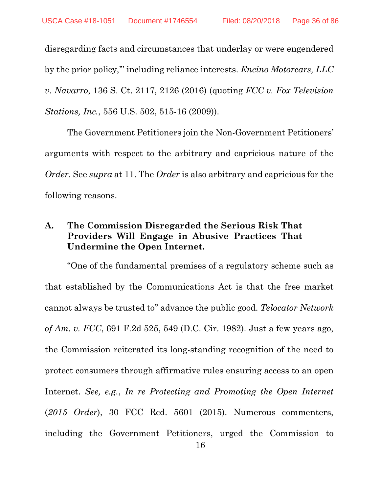<span id="page-35-1"></span>disregarding facts and circumstances that underlay or were engendered by the prior policy,'" including reliance interests. *Encino Motorcars, LLC v. Navarro*, 136 S. Ct. 2117, 2126 (2016) (quoting *FCC v. Fox Television Stations, Inc.*, 556 U.S. 502, 515-16 (2009)).

The Government Petitioners join the Non-Government Petitioners' arguments with respect to the arbitrary and capricious nature of the *Order*. See *supra* at 11. The *Order* is also arbitrary and capricious for the following reasons.

### <span id="page-35-0"></span>**A. The Commission Disregarded the Serious Risk That Providers Will Engage in Abusive Practices That Undermine the Open Internet.**

<span id="page-35-3"></span><span id="page-35-2"></span>"One of the fundamental premises of a regulatory scheme such as that established by the Communications Act is that the free market cannot always be trusted to" advance the public good. *Telocator Network of Am. v. FCC*, 691 F.2d 525, 549 (D.C. Cir. 1982). Just a few years ago, the Commission reiterated its long-standing recognition of the need to protect consumers through affirmative rules ensuring access to an open Internet. *See, e.g.*, *In re Protecting and Promoting the Open Internet*  (*2015 Order*), 30 FCC Rcd. 5601 (2015). Numerous commenters, including the Government Petitioners, urged the Commission to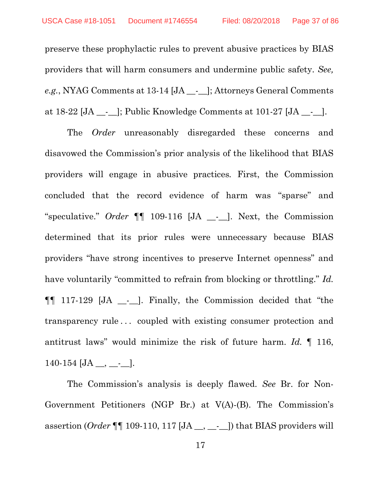preserve these prophylactic rules to prevent abusive practices by BIAS providers that will harm consumers and undermine public safety. *See, e.g.*, NYAG Comments at 13-14 [JA \_\_-\_\_]; Attorneys General Comments at 18-22 [JA \_\_-\_\_]; Public Knowledge Comments at 101-27 [JA \_\_-\_\_].

The *Order* unreasonably disregarded these concerns and disavowed the Commission's prior analysis of the likelihood that BIAS providers will engage in abusive practices*.* First, the Commission concluded that the record evidence of harm was "sparse" and "speculative." *Order* ¶¶ 109-116 [JA \_\_-\_\_]. Next, the Commission determined that its prior rules were unnecessary because BIAS providers "have strong incentives to preserve Internet openness" and have voluntarily "committed to refrain from blocking or throttling." *Id.*  ¶¶ 117-129 [JA \_\_-\_\_]. Finally, the Commission decided that "the transparency rule . . . coupled with existing consumer protection and antitrust laws" would minimize the risk of future harm. *Id.* ¶ 116,  $140-154$  [JA \_\_, \_\_-\_\_].

The Commission's analysis is deeply flawed. *See* Br. for Non-Government Petitioners (NGP Br.) at V(A)-(B). The Commission's assertion (*Order* ¶¶ 109-110, 117 [JA \_\_, \_\_-\_\_]) that BIAS providers will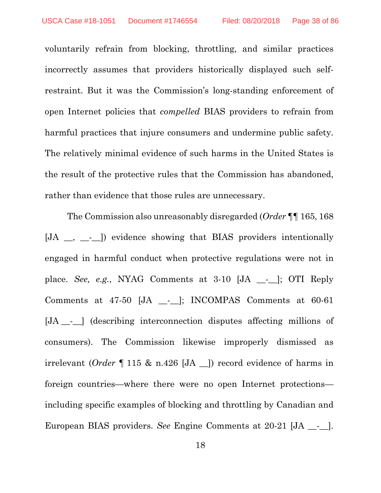voluntarily refrain from blocking, throttling, and similar practices incorrectly assumes that providers historically displayed such selfrestraint. But it was the Commission's long-standing enforcement of open Internet policies that *compelled* BIAS providers to refrain from harmful practices that injure consumers and undermine public safety. The relatively minimal evidence of such harms in the United States is the result of the protective rules that the Commission has abandoned, rather than evidence that those rules are unnecessary.

The Commission also unreasonably disregarded (*Order* ¶¶ 165, 168 [JA \_, \_-\_]) evidence showing that BIAS providers intentionally engaged in harmful conduct when protective regulations were not in place. *See, e.g.*, NYAG Comments at 3-10 [JA \_\_-\_\_]; OTI Reply Comments at 47-50 [JA \_\_-\_\_]; INCOMPAS Comments at 60-61 [JA \_\_-\_\_] (describing interconnection disputes affecting millions of consumers). The Commission likewise improperly dismissed as irrelevant (*Order* ¶ 115 & n.426 [JA \_\_]) record evidence of harms in foreign countries—where there were no open Internet protections including specific examples of blocking and throttling by Canadian and European BIAS providers. *See* Engine Comments at 20-21 [JA \_\_-\_\_].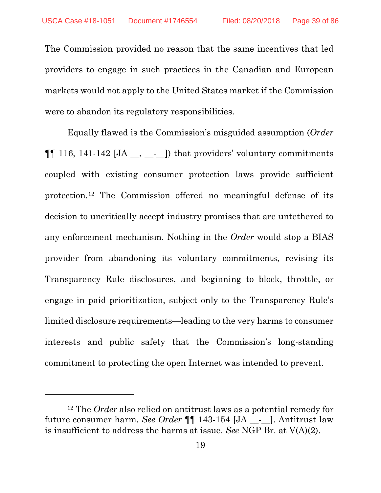The Commission provided no reason that the same incentives that led providers to engage in such practices in the Canadian and European markets would not apply to the United States market if the Commission were to abandon its regulatory responsibilities.

Equally flawed is the Commission's misguided assumption (*Order*  $\P\P$  116, 141-142 [JA \_\_, \_\_-\_]) that providers' voluntary commitments coupled with existing consumer protection laws provide sufficient protection.[12](#page-38-0) The Commission offered no meaningful defense of its decision to uncritically accept industry promises that are untethered to any enforcement mechanism. Nothing in the *Order* would stop a BIAS provider from abandoning its voluntary commitments, revising its Transparency Rule disclosures, and beginning to block, throttle, or engage in paid prioritization, subject only to the Transparency Rule's limited disclosure requirements—leading to the very harms to consumer interests and public safety that the Commission's long-standing commitment to protecting the open Internet was intended to prevent.

 $\overline{a}$ 

<span id="page-38-0"></span><sup>12</sup> The *Order* also relied on antitrust laws as a potential remedy for future consumer harm. *See Order* ¶¶ 143-154 [JA \_\_-\_\_]. Antitrust law is insufficient to address the harms at issue. *See* NGP Br. at V(A)(2).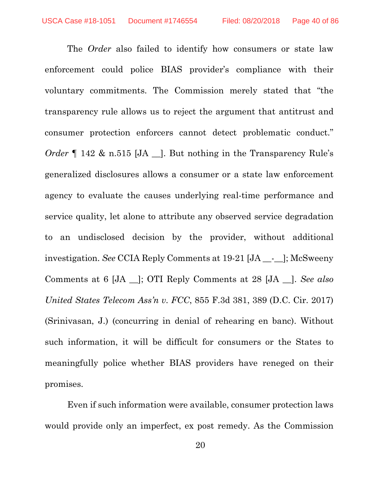The *Order* also failed to identify how consumers or state law enforcement could police BIAS provider's compliance with their voluntary commitments. The Commission merely stated that "the transparency rule allows us to reject the argument that antitrust and consumer protection enforcers cannot detect problematic conduct." *Order* 142 & n.515 [JA \_]. But nothing in the Transparency Rule's generalized disclosures allows a consumer or a state law enforcement agency to evaluate the causes underlying real-time performance and service quality, let alone to attribute any observed service degradation to an undisclosed decision by the provider, without additional investigation. *See* CCIA Reply Comments at 19-21 [JA \_\_-\_\_]; McSweeny Comments at 6 [JA \_\_]; OTI Reply Comments at 28 [JA \_\_]. *See also United States Telecom Ass'n v. FCC*, 855 F.3d 381, 389 (D.C. Cir. 2017) (Srinivasan, J.) (concurring in denial of rehearing en banc). Without such information, it will be difficult for consumers or the States to meaningfully police whether BIAS providers have reneged on their promises.

Even if such information were available, consumer protection laws would provide only an imperfect, ex post remedy. As the Commission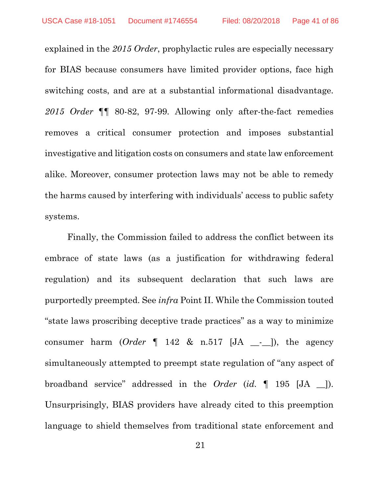explained in the *2015 Order*, prophylactic rules are especially necessary for BIAS because consumers have limited provider options, face high switching costs, and are at a substantial informational disadvantage. *2015 Order* ¶¶ 80-82, 97-99. Allowing only after-the-fact remedies removes a critical consumer protection and imposes substantial investigative and litigation costs on consumers and state law enforcement alike. Moreover, consumer protection laws may not be able to remedy the harms caused by interfering with individuals' access to public safety systems.

Finally, the Commission failed to address the conflict between its embrace of state laws (as a justification for withdrawing federal regulation) and its subsequent declaration that such laws are purportedly preempted. See *infra* Point II. While the Commission touted "state laws proscribing deceptive trade practices" as a way to minimize consumer harm  $(Order \parallel 142 \& n.517 \parallel JA \_\text{-}I)$ , the agency simultaneously attempted to preempt state regulation of "any aspect of broadband service" addressed in the *Order* (*id.* ¶ 195 [JA \_\_]). Unsurprisingly, BIAS providers have already cited to this preemption language to shield themselves from traditional state enforcement and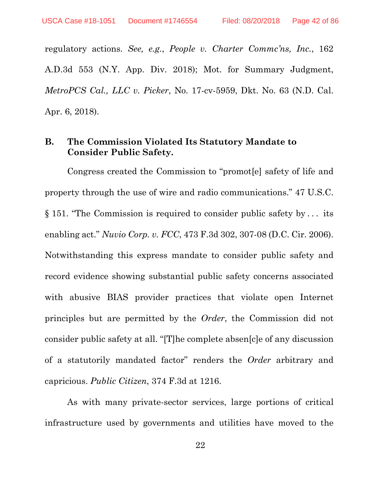regulatory actions. *See, e.g.*, *People v. Charter Commc'ns, Inc.*, 162 A.D.3d 553 (N.Y. App. Div. 2018); Mot. for Summary Judgment, *MetroPCS Cal., LLC v. Picker*, No. 17-cv-5959, Dkt. No. 63 (N.D. Cal. Apr. 6, 2018).

## **B. The Commission Violated Its Statutory Mandate to Consider Public Safety.**

Congress created the Commission to "promot[e] safety of life and property through the use of wire and radio communications." 47 U.S.C. § 151. "The Commission is required to consider public safety by . . . its enabling act." *Nuvio Corp. v. FCC*, 473 F.3d 302, 307-08 (D.C. Cir. 2006). Notwithstanding this express mandate to consider public safety and record evidence showing substantial public safety concerns associated with abusive BIAS provider practices that violate open Internet principles but are permitted by the *Order*, the Commission did not consider public safety at all. "[T]he complete absen[c]e of any discussion of a statutorily mandated factor" renders the *Order* arbitrary and capricious. *Public Citizen*, 374 F.3d at 1216.

As with many private-sector services, large portions of critical infrastructure used by governments and utilities have moved to the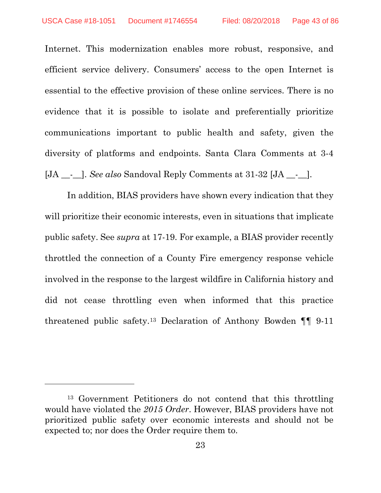$\overline{a}$ 

Internet. This modernization enables more robust, responsive, and efficient service delivery. Consumers' access to the open Internet is essential to the effective provision of these online services. There is no evidence that it is possible to isolate and preferentially prioritize communications important to public health and safety, given the diversity of platforms and endpoints. Santa Clara Comments at 3-4 [JA \_\_-\_\_]. *See also* Sandoval Reply Comments at 31-32 [JA \_\_-\_\_].

In addition, BIAS providers have shown every indication that they will prioritize their economic interests, even in situations that implicate public safety. See *supra* at 17-19. For example, a BIAS provider recently throttled the connection of a County Fire emergency response vehicle involved in the response to the largest wildfire in California history and did not cease throttling even when informed that this practice threatened public safety.[13](#page-42-0) Declaration of Anthony Bowden ¶¶ 9-11

<span id="page-42-0"></span><sup>13</sup> Government Petitioners do not contend that this throttling would have violated the *2015 Order*. However, BIAS providers have not prioritized public safety over economic interests and should not be expected to; nor does the Order require them to.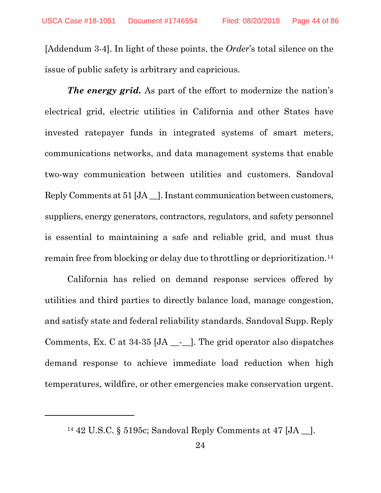[Addendum 3-4]. In light of these points, the *Order*'s total silence on the issue of public safety is arbitrary and capricious.

*The energy grid.* As part of the effort to modernize the nation's electrical grid, electric utilities in California and other States have invested ratepayer funds in integrated systems of smart meters, communications networks, and data management systems that enable two-way communication between utilities and customers. Sandoval Reply Comments at 51 [JA \_\_]. Instant communication between customers, suppliers, energy generators, contractors, regulators, and safety personnel is essential to maintaining a safe and reliable grid, and must thus remain free from blocking or delay due to throttling or deprioritization.[14](#page-43-0)

California has relied on demand response services offered by utilities and third parties to directly balance load, manage congestion, and satisfy state and federal reliability standards. Sandoval Supp. Reply Comments, Ex. C at  $34-35$  [JA  $\_\_$ - $\_\_$ ]. The grid operator also dispatches demand response to achieve immediate load reduction when high temperatures, wildfire, or other emergencies make conservation urgent.

<span id="page-43-0"></span>l

<sup>14</sup> 42 U.S.C. § 5195c; Sandoval Reply Comments at 47 [JA \_\_].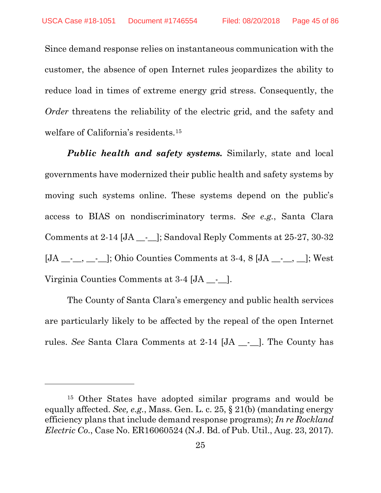Since demand response relies on instantaneous communication with the customer, the absence of open Internet rules jeopardizes the ability to reduce load in times of extreme energy grid stress. Consequently, the *Order* threatens the reliability of the electric grid, and the safety and welfare of California's residents.[15](#page-44-0)

*Public health and safety systems.* Similarly, state and local governments have modernized their public health and safety systems by moving such systems online. These systems depend on the public's access to BIAS on nondiscriminatory terms. *See e.g.*, Santa Clara Comments at  $2-14$  [JA  $\_\_$ .]; Sandoval Reply Comments at  $25-27$ , 30-32  $[JA \_\_\_\_\_\_\_\_\]$ ; Ohio Counties Comments at 3-4, 8  $[JA \_\_\_\_\_\_\_\]$ ; West Virginia Counties Comments at 3-4 [JA \_\_-\_\_].

The County of Santa Clara's emergency and public health services are particularly likely to be affected by the repeal of the open Internet rules. *See* Santa Clara Comments at 2-14 [JA \_\_-\_\_]. The County has

 $\overline{a}$ 

<span id="page-44-0"></span><sup>15</sup> Other States have adopted similar programs and would be equally affected. *See, e.g.*, Mass. Gen. L. c. 25, § 21(b) (mandating energy efficiency plans that include demand response programs); *[In re Rockland](https://www.state.nj.us/bpu/pdf/boardorders/2017/20170823/8-23-17-2F.pdf)  [Electric Co](https://www.state.nj.us/bpu/pdf/boardorders/2017/20170823/8-23-17-2F.pdf)*., Case No. ER16060524 (N.J. Bd. of Pub. Util., Aug. 23, 2017).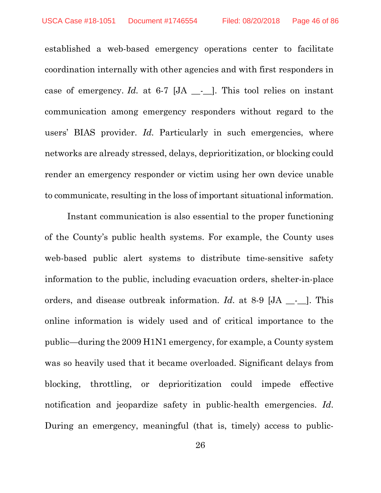established a web-based emergency operations center to facilitate coordination internally with other agencies and with first responders in case of emergency. *Id.* at 6-7 [JA \_-\_]. This tool relies on instant communication among emergency responders without regard to the users' BIAS provider. *Id*. Particularly in such emergencies, where networks are already stressed, delays, deprioritization, or blocking could render an emergency responder or victim using her own device unable to communicate, resulting in the loss of important situational information.

Instant communication is also essential to the proper functioning of the County's public health systems. For example, the County uses web-based public alert systems to distribute time-sensitive safety information to the public, including evacuation orders, shelter-in-place orders, and disease outbreak information. *Id*. at 8-9 [JA \_\_-\_\_]. This online information is widely used and of critical importance to the public—during the 2009 H1N1 emergency, for example, a County system was so heavily used that it became overloaded. Significant delays from blocking, throttling, or deprioritization could impede effective notification and jeopardize safety in public-health emergencies. *Id*. During an emergency, meaningful (that is, timely) access to public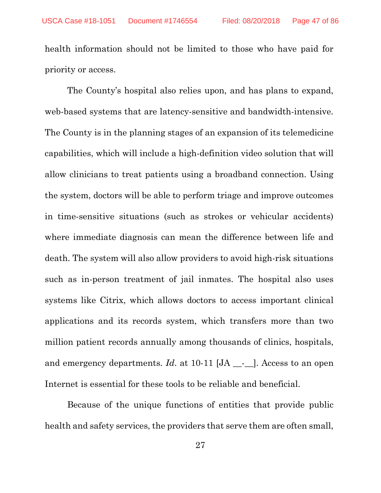health information should not be limited to those who have paid for priority or access.

The County's hospital also relies upon, and has plans to expand, web-based systems that are latency-sensitive and bandwidth-intensive. The County is in the planning stages of an expansion of its telemedicine capabilities, which will include a high-definition video solution that will allow clinicians to treat patients using a broadband connection. Using the system, doctors will be able to perform triage and improve outcomes in time-sensitive situations (such as strokes or vehicular accidents) where immediate diagnosis can mean the difference between life and death. The system will also allow providers to avoid high-risk situations such as in-person treatment of jail inmates. The hospital also uses systems like Citrix, which allows doctors to access important clinical applications and its records system, which transfers more than two million patient records annually among thousands of clinics, hospitals, and emergency departments. *Id.* at 10-11 [JA \_\_-\_]. Access to an open Internet is essential for these tools to be reliable and beneficial.

Because of the unique functions of entities that provide public health and safety services, the providers that serve them are often small,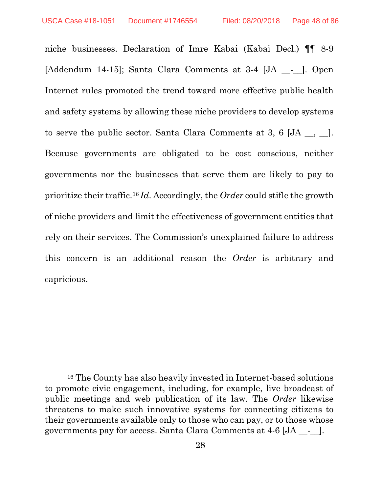$\overline{a}$ 

niche businesses. Declaration of Imre Kabai (Kabai Decl.) ¶¶ 8-9 [Addendum 14-15]; Santa Clara Comments at 3-4 [JA \_\_-\_]. Open Internet rules promoted the trend toward more effective public health and safety systems by allowing these niche providers to develop systems to serve the public sector. Santa Clara Comments at 3, 6  $[JA \underline{\ }$ Because governments are obligated to be cost conscious, neither governments nor the businesses that serve them are likely to pay to prioritize their traffic.[16](#page-47-0) *Id*. Accordingly, the *Order* could stifle the growth of niche providers and limit the effectiveness of government entities that rely on their services. The Commission's unexplained failure to address this concern is an additional reason the *Order* is arbitrary and capricious.

<span id="page-47-0"></span><sup>16</sup> The County has also heavily invested in Internet-based solutions to promote civic engagement, including, for example, live broadcast of public meetings and web publication of its law. The *Order* likewise threatens to make such innovative systems for connecting citizens to their governments available only to those who can pay, or to those whose governments pay for access. Santa Clara Comments at 4-6 [JA \_\_-\_\_].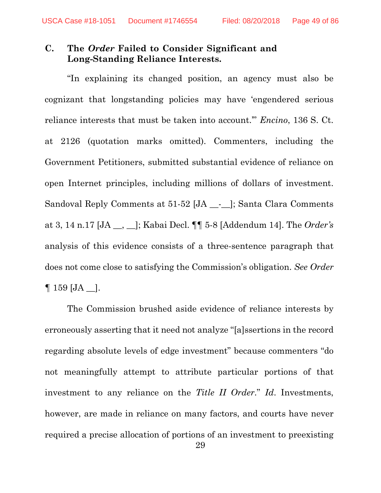# **C. The** *Order* **Failed to Consider Significant and Long-Standing Reliance Interests.**

"In explaining its changed position, an agency must also be cognizant that longstanding policies may have 'engendered serious reliance interests that must be taken into account.'" *Encino*, 136 S. Ct. at 2126 (quotation marks omitted). Commenters, including the Government Petitioners, submitted substantial evidence of reliance on open Internet principles, including millions of dollars of investment. Sandoval Reply Comments at 51-52 [JA \_\_-\_\_]; Santa Clara Comments at 3, 14 n.17 [JA \_\_, \_\_]; Kabai Decl. ¶¶ 5-8 [Addendum 14]. The *Order's* analysis of this evidence consists of a three-sentence paragraph that does not come close to satisfying the Commission's obligation. *See Order*   $\P$  159 [JA  $\Box$ ].

The Commission brushed aside evidence of reliance interests by erroneously asserting that it need not analyze "[a]ssertions in the record regarding absolute levels of edge investment" because commenters "do not meaningfully attempt to attribute particular portions of that investment to any reliance on the *Title II Order*." *Id*. Investments, however, are made in reliance on many factors, and courts have never required a precise allocation of portions of an investment to preexisting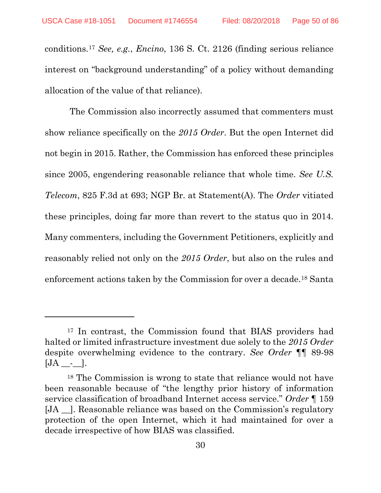$\overline{a}$ 

conditions.[17](#page-49-0) *See, e.g.*, *Encino*, 136 S. Ct. 2126 (finding serious reliance interest on "background understanding" of a policy without demanding allocation of the value of that reliance).

The Commission also incorrectly assumed that commenters must show reliance specifically on the *2015 Order*. But the open Internet did not begin in 2015. Rather, the Commission has enforced these principles since 2005, engendering reasonable reliance that whole time. *See U.S. Telecom*, 825 F.3d at 693; NGP Br. at Statement(A). The *Order* vitiated these principles, doing far more than revert to the status quo in 2014. Many commenters, including the Government Petitioners, explicitly and reasonably relied not only on the *2015 Order*, but also on the rules and enforcement actions taken by the Commission for over a decade.[18](#page-49-1) Santa

<span id="page-49-0"></span><sup>17</sup> In contrast, the Commission found that BIAS providers had halted or limited infrastructure investment due solely to the *2015 Order*  despite overwhelming evidence to the contrary. *See Order* ¶¶ 89-98  $[JA - I]$ .

<span id="page-49-1"></span><sup>18</sup> The Commission is wrong to state that reliance would not have been reasonable because of "the lengthy prior history of information service classification of broadband Internet access service." *Order* ¶ 159 [JA \_\_]. Reasonable reliance was based on the Commission's regulatory protection of the open Internet, which it had maintained for over a decade irrespective of how BIAS was classified.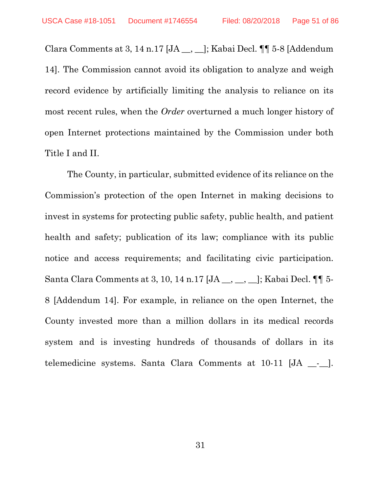Clara Comments at 3, 14 n.17 [JA \_\_, \_\_]; Kabai Decl. ¶¶ 5-8 [Addendum 14]. The Commission cannot avoid its obligation to analyze and weigh record evidence by artificially limiting the analysis to reliance on its most recent rules, when the *Order* overturned a much longer history of open Internet protections maintained by the Commission under both Title I and II.

The County, in particular, submitted evidence of its reliance on the Commission's protection of the open Internet in making decisions to invest in systems for protecting public safety, public health, and patient health and safety; publication of its law; compliance with its public notice and access requirements; and facilitating civic participation. Santa Clara Comments at 3, 10, 14 n.17 [JA \_\_, \_\_, \_\_]; Kabai Decl. ¶¶ 5- 8 [Addendum 14]. For example, in reliance on the open Internet, the County invested more than a million dollars in its medical records system and is investing hundreds of thousands of dollars in its telemedicine systems. Santa Clara Comments at 10-11 [JA \_\_-\_\_].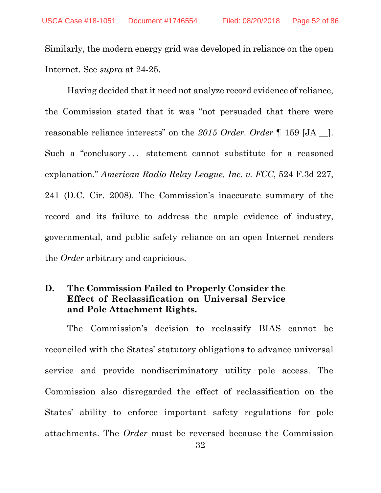Similarly, the modern energy grid was developed in reliance on the open Internet. See *supra* at 24-25.

Having decided that it need not analyze record evidence of reliance, the Commission stated that it was "not persuaded that there were reasonable reliance interests" on the *2015 Order*. *Order* ¶ 159 [JA \_\_]. Such a "conclusory... statement cannot substitute for a reasoned explanation." *American Radio Relay League, Inc. v. FCC*, 524 F.3d 227, 241 (D.C. Cir. 2008). The Commission's inaccurate summary of the record and its failure to address the ample evidence of industry, governmental, and public safety reliance on an open Internet renders the *Order* arbitrary and capricious.

# **D. The Commission Failed to Properly Consider the Effect of Reclassification on Universal Service and Pole Attachment Rights.**

The Commission's decision to reclassify BIAS cannot be reconciled with the States' statutory obligations to advance universal service and provide nondiscriminatory utility pole access. The Commission also disregarded the effect of reclassification on the States' ability to enforce important safety regulations for pole attachments. The *Order* must be reversed because the Commission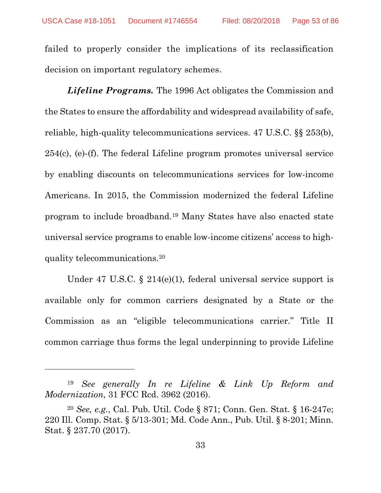$\overline{a}$ 

failed to properly consider the implications of its reclassification decision on important regulatory schemes.

*Lifeline Programs.* The 1996 Act obligates the Commission and the States to ensure the affordability and widespread availability of safe, reliable, high-quality telecommunications services. 47 U.S.C. §§ 253(b), 254(c), (e)-(f). The federal Lifeline program promotes universal service by enabling discounts on telecommunications services for low-income Americans. In 2015, the Commission modernized the federal Lifeline program to include broadband[.19](#page-52-0) Many States have also enacted state universal service programs to enable low-income citizens' access to highquality telecommunications.[20](#page-52-1)

Under 47 U.S.C. § 214(e)(1), federal universal service support is available only for common carriers designated by a State or the Commission as an "eligible telecommunications carrier." Title II common carriage thus forms the legal underpinning to provide Lifeline

<span id="page-52-0"></span><sup>19</sup> *See generally In re Lifeline & Link Up Reform and Modernization*, 31 FCC Rcd. 3962 (2016).

<span id="page-52-1"></span><sup>20</sup> *See, e.g.*, Cal. Pub. Util. Code § 871; Conn. Gen. Stat. § 16-247e; 220 Ill. Comp. Stat. § 5/13-301; Md. Code Ann., Pub. Util. § 8-201; Minn. Stat. § 237.70 (2017).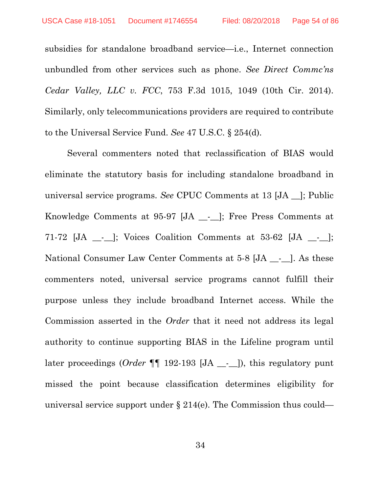subsidies for standalone broadband service—i.e., Internet connection unbundled from other services such as phone. *See Direct Commc'ns Cedar Valley, LLC v. FCC*, 753 F.3d 1015, 1049 (10th Cir. 2014). Similarly, only telecommunications providers are required to contribute to the Universal Service Fund. *See* 47 U.S.C. § 254(d).

Several commenters noted that reclassification of BIAS would eliminate the statutory basis for including standalone broadband in universal service programs. *See* CPUC Comments at 13 [JA \_\_]; Public Knowledge Comments at 95-97 [JA \_\_-\_\_]; Free Press Comments at 71-72 [JA \_\_-\_\_]; Voices Coalition Comments at 53-62 [JA \_\_-\_\_]; National Consumer Law Center Comments at 5-8 [JA \_\_-\_\_]. As these commenters noted, universal service programs cannot fulfill their purpose unless they include broadband Internet access. While the Commission asserted in the *Order* that it need not address its legal authority to continue supporting BIAS in the Lifeline program until later proceedings (*Order* ¶¶ 192-193 [JA \_\_-\_\_]), this regulatory punt missed the point because classification determines eligibility for universal service support under § 214(e). The Commission thus could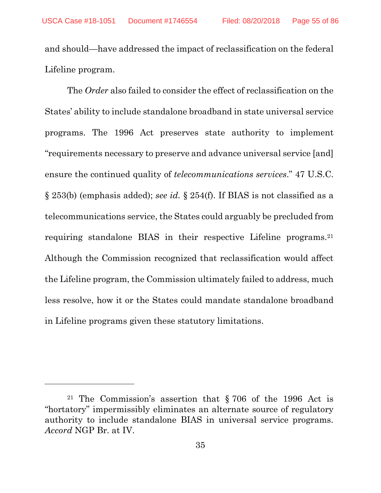and should—have addressed the impact of reclassification on the federal Lifeline program.

The *Order* also failed to consider the effect of reclassification on the States' ability to include standalone broadband in state universal service programs. The 1996 Act preserves state authority to implement "requirements necessary to preserve and advance universal service [and] ensure the continued quality of *telecommunications services*." 47 U.S.C. § 253(b) (emphasis added); *see id.* § 254(f). If BIAS is not classified as a telecommunications service, the States could arguably be precluded from requiring standalone BIAS in their respective Lifeline programs.[21](#page-54-0) Although the Commission recognized that reclassification would affect the Lifeline program, the Commission ultimately failed to address, much less resolve, how it or the States could mandate standalone broadband in Lifeline programs given these statutory limitations.

 $\overline{a}$ 

<span id="page-54-0"></span><sup>21</sup> The Commission's assertion that § 706 of the 1996 Act is "hortatory" impermissibly eliminates an alternate source of regulatory authority to include standalone BIAS in universal service programs. *Accord* NGP Br. at IV.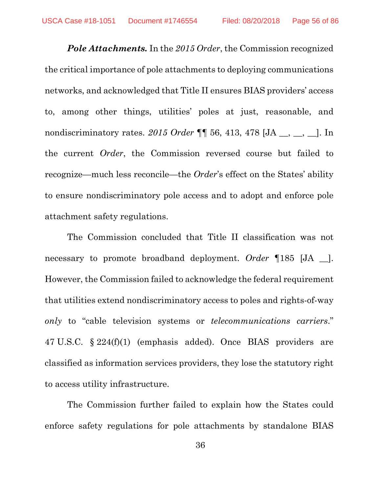*Pole Attachments.* In the *2015 Order*, the Commission recognized the critical importance of pole attachments to deploying communications networks, and acknowledged that Title II ensures BIAS providers' access to, among other things, utilities' poles at just, reasonable, and nondiscriminatory rates. 2015 *Order* **[1**] 56, 413, 478 [JA \_\_, \_\_, \_]. In the current *Order*, the Commission reversed course but failed to recognize—much less reconcile—the *Order*'s effect on the States' ability to ensure nondiscriminatory pole access and to adopt and enforce pole attachment safety regulations.

The Commission concluded that Title II classification was not necessary to promote broadband deployment. *Order* ¶185 [JA \_\_]. However, the Commission failed to acknowledge the federal requirement that utilities extend nondiscriminatory access to poles and rights-of-way *only* to "cable television systems or *telecommunications carriers*." 47 U.S.C. § 224(f)(1) (emphasis added). Once BIAS providers are classified as information services providers, they lose the statutory right to access utility infrastructure.

The Commission further failed to explain how the States could enforce safety regulations for pole attachments by standalone BIAS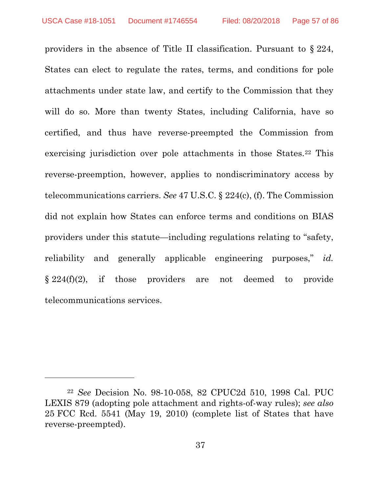$\overline{a}$ 

providers in the absence of Title II classification. Pursuant to § 224, States can elect to regulate the rates, terms, and conditions for pole attachments under state law, and certify to the Commission that they will do so. More than twenty States, including California, have so certified, and thus have reverse-preempted the Commission from exercising jurisdiction over pole attachments in those States.<sup>[22](#page-56-0)</sup> This reverse-preemption, however, applies to nondiscriminatory access by telecommunications carriers. *See* 47 U.S.C. § 224(c), (f). The Commission did not explain how States can enforce terms and conditions on BIAS providers under this statute—including regulations relating to "safety, reliability and generally applicable engineering purposes," *id.*  $\S 224(f)(2)$ , if those providers are not deemed to provide telecommunications services.

<span id="page-56-0"></span><sup>22</sup> *See* Decision No. 98-10-058, 82 CPUC2d 510, 1998 Cal. PUC LEXIS 879 (adopting pole attachment and rights-of-way rules); *see also*  25 FCC Rcd. 5541 (May 19, 2010) (complete list of States that have reverse-preempted).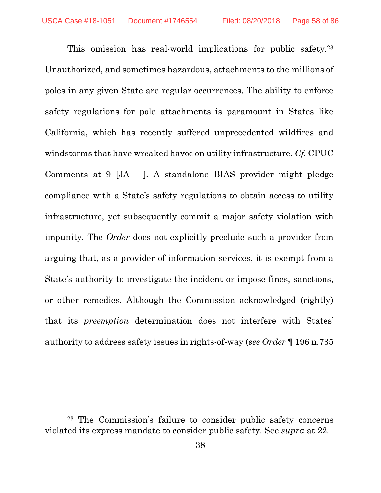This omission has real-world implications for public safety.<sup>[23](#page-57-0)</sup> Unauthorized, and sometimes hazardous, attachments to the millions of poles in any given State are regular occurrences. The ability to enforce safety regulations for pole attachments is paramount in States like California, which has recently suffered unprecedented wildfires and windstorms that have wreaked havoc on utility infrastructure. *Cf.* CPUC Comments at 9 [JA \_\_]. A standalone BIAS provider might pledge compliance with a State's safety regulations to obtain access to utility infrastructure, yet subsequently commit a major safety violation with impunity. The *Order* does not explicitly preclude such a provider from arguing that, as a provider of information services, it is exempt from a State's authority to investigate the incident or impose fines, sanctions, or other remedies. Although the Commission acknowledged (rightly) that its *preemption* determination does not interfere with States' authority to address safety issues in rights-of-way (*see Order* ¶ 196 n.735

l

<span id="page-57-0"></span><sup>23</sup> The Commission's failure to consider public safety concerns violated its express mandate to consider public safety. See *supra* at 22*.*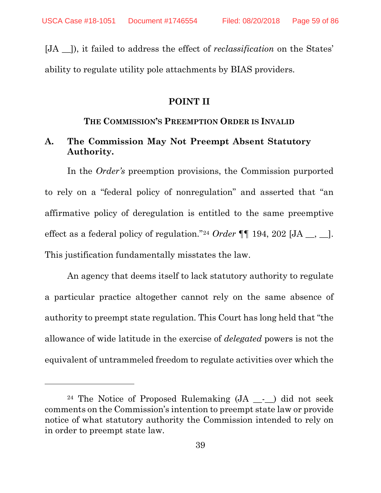$\overline{a}$ 

[JA \_\_]), it failed to address the effect of *reclassification* on the States' ability to regulate utility pole attachments by BIAS providers.

### **POINT II**

#### **THE COMMISSION'S PREEMPTION ORDER IS INVALID**

# **A. The Commission May Not Preempt Absent Statutory Authority.**

In the *Order's* preemption provisions, the Commission purported to rely on a "federal policy of nonregulation" and asserted that "an affirmative policy of deregulation is entitled to the same preemptive effect as a federal policy of regulation."[24](#page-58-0) *Order* ¶¶ 194, 202 [JA \_\_, \_\_]. This justification fundamentally misstates the law.

An agency that deems itself to lack statutory authority to regulate a particular practice altogether cannot rely on the same absence of authority to preempt state regulation. This Court has long held that "the allowance of wide latitude in the exercise of *delegated* powers is not the equivalent of untrammeled freedom to regulate activities over which the

<span id="page-58-0"></span><sup>&</sup>lt;sup>24</sup> The Notice of Proposed Rulemaking  $(JA - )$  did not seek comments on the Commission's intention to preempt state law or provide notice of what statutory authority the Commission intended to rely on in order to preempt state law.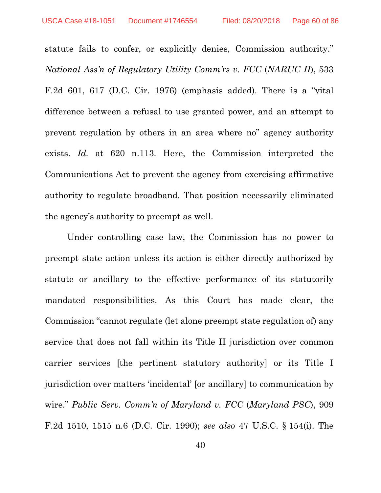statute fails to confer, or explicitly denies, Commission authority." *National Ass'n of Regulatory Utility Comm'rs v. FCC* (*NARUC II*), 533 F.2d 601, 617 (D.C. Cir. 1976) (emphasis added). There is a "vital difference between a refusal to use granted power, and an attempt to prevent regulation by others in an area where no" agency authority exists. *Id.* at 620 n.113. Here, the Commission interpreted the Communications Act to prevent the agency from exercising affirmative authority to regulate broadband. That position necessarily eliminated the agency's authority to preempt as well.

Under controlling case law, the Commission has no power to preempt state action unless its action is either directly authorized by statute or ancillary to the effective performance of its statutorily mandated responsibilities. As this Court has made clear, the Commission "cannot regulate (let alone preempt state regulation of) any service that does not fall within its Title II jurisdiction over common carrier services [the pertinent statutory authority] or its Title I jurisdiction over matters 'incidental' [or ancillary] to communication by wire." *Public Serv. Comm'n of Maryland v. FCC* (*Maryland PSC*), 909 F.2d 1510, 1515 n.6 (D.C. Cir. 1990); *see also* 47 U.S.C. § 154(i). The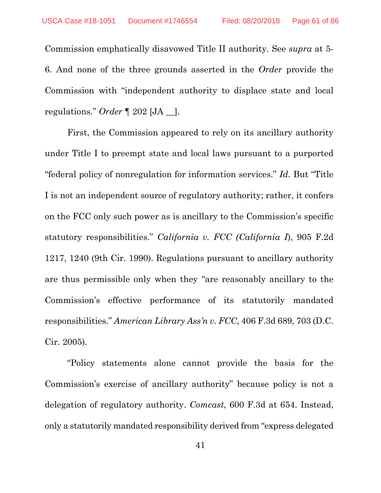Commission emphatically disavowed Title II authority. See *supra* at 5- 6. And none of the three grounds asserted in the *Order* provide the Commission with "independent authority to displace state and local regulations." *Order* ¶ 202 [JA \_\_].

First, the Commission appeared to rely on its ancillary authority under Title I to preempt state and local laws pursuant to a purported "federal policy of nonregulation for information services." *Id.* But "Title I is not an independent source of regulatory authority; rather, it confers on the FCC only such power as is ancillary to the Commission's specific statutory responsibilities." *California v. FCC (California I*), 905 F.2d 1217, 1240 (9th Cir. 1990). Regulations pursuant to ancillary authority are thus permissible only when they "are reasonably ancillary to the Commission's effective performance of its statutorily mandated responsibilities." *American Library Ass'n v. FCC*, 406 F.3d 689, 703 (D.C. Cir. 2005).

"Policy statements alone cannot provide the basis for the Commission's exercise of ancillary authority" because policy is not a delegation of regulatory authority. *Comcast*, 600 F.3d at 654. Instead, only a statutorily mandated responsibility derived from "express delegated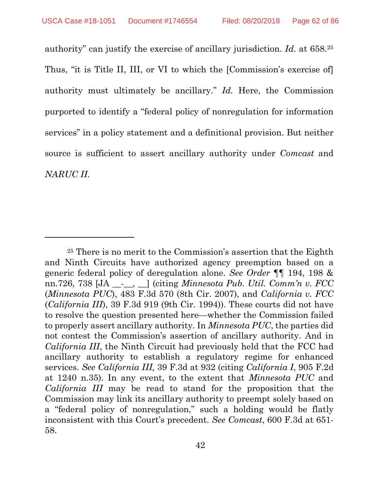l

authority" can justify the exercise of ancillary jurisdiction. *Id.* at 658.[25](#page-61-0) Thus, "it is Title II, III, or VI to which the [Commission's exercise of] authority must ultimately be ancillary." *Id.* Here, the Commission purported to identify a "federal policy of nonregulation for information services" in a policy statement and a definitional provision. But neither source is sufficient to assert ancillary authority under *Comcast* and *NARUC II*.

<span id="page-61-0"></span><sup>25</sup> There is no merit to the Commission's assertion that the Eighth and Ninth Circuits have authorized agency preemption based on a generic federal policy of deregulation alone. *See Order* ¶¶ 194, 198 & nn.726, 738 [JA \_\_-\_\_, \_\_] (citing *Minnesota Pub. Util. Comm'n v. FCC*  (*Minnesota PUC*), 483 F.3d 570 (8th Cir. 2007), and *California v. FCC*  (*California III*), 39 F.3d 919 (9th Cir. 1994)). These courts did not have to resolve the question presented here—whether the Commission failed to properly assert ancillary authority. In *Minnesota PUC*, the parties did not contest the Commission's assertion of ancillary authority. And in *California III*, the Ninth Circuit had previously held that the FCC had ancillary authority to establish a regulatory regime for enhanced services. *See California III,* 39 F.3d at 932 (citing *California I*, 905 F.2d at 1240 n.35). In any event, to the extent that *Minnesota PUC* and *California III* may be read to stand for the proposition that the Commission may link its ancillary authority to preempt solely based on a "federal policy of nonregulation," such a holding would be flatly inconsistent with this Court's precedent. *See Comcast*, 600 F.3d at 651- 58.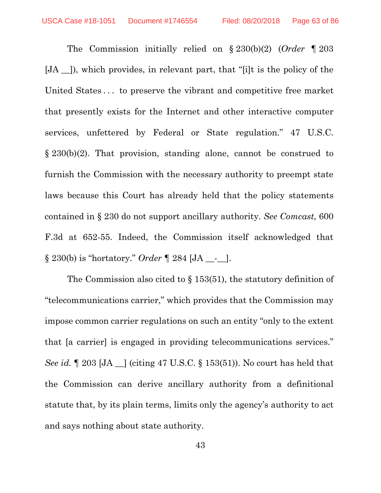The Commission initially relied on § 230(b)(2) (*Order* ¶ 203 [JA \_\_]), which provides, in relevant part, that "[i]t is the policy of the United States . . . to preserve the vibrant and competitive free market that presently exists for the Internet and other interactive computer services, unfettered by Federal or State regulation." 47 U.S.C. § 230(b)(2). That provision, standing alone, cannot be construed to furnish the Commission with the necessary authority to preempt state laws because this Court has already held that the policy statements contained in § 230 do not support ancillary authority. *See Comcast*, 600 F.3d at 652-55. Indeed, the Commission itself acknowledged that § 230(b) is "hortatory." *Order ¶* 284 [JA \_\_-\_\_].

The Commission also cited to § 153(51), the statutory definition of "telecommunications carrier," which provides that the Commission may impose common carrier regulations on such an entity "only to the extent that [a carrier] is engaged in providing telecommunications services." *See id.* 1203 [JA \_] (citing 47 U.S.C. § 153(51)). No court has held that the Commission can derive ancillary authority from a definitional statute that, by its plain terms, limits only the agency's authority to act and says nothing about state authority.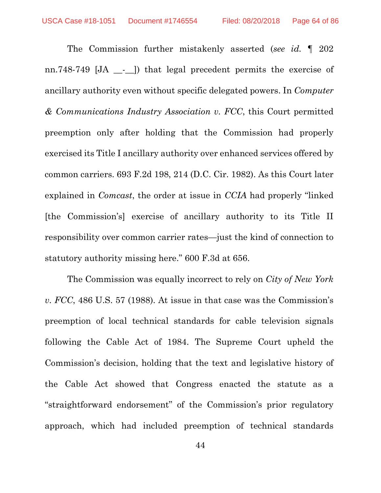The Commission further mistakenly asserted (*see id.* ¶ 202 nn.748-749 [JA \_ - \_ ]) that legal precedent permits the exercise of ancillary authority even without specific delegated powers. In *Computer & Communications Industry Association v. FCC*, this Court permitted preemption only after holding that the Commission had properly exercised its Title I ancillary authority over enhanced services offered by common carriers. 693 F.2d 198, 214 (D.C. Cir. 1982). As this Court later explained in *Comcast*, the order at issue in *CCIA* had properly "linked [the Commission's] exercise of ancillary authority to its Title II responsibility over common carrier rates—just the kind of connection to statutory authority missing here." 600 F.3d at 656.

The Commission was equally incorrect to rely on *City of New York v. FCC*, 486 U.S. 57 (1988). At issue in that case was the Commission's preemption of local technical standards for cable television signals following the Cable Act of 1984. The Supreme Court upheld the Commission's decision, holding that the text and legislative history of the Cable Act showed that Congress enacted the statute as a "straightforward endorsement" of the Commission's prior regulatory approach, which had included preemption of technical standards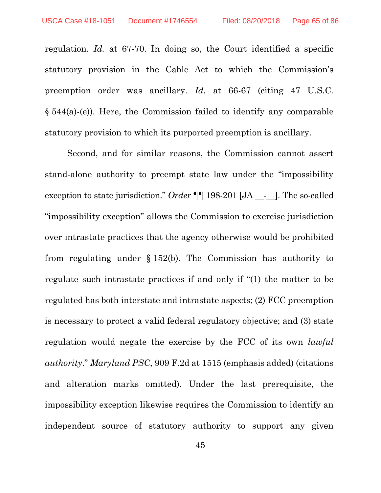regulation. *Id.* at 67-70. In doing so, the Court identified a specific statutory provision in the Cable Act to which the Commission's preemption order was ancillary. *Id.* at 66-67 (citing 47 U.S.C. § 544(a)-(e)). Here, the Commission failed to identify any comparable statutory provision to which its purported preemption is ancillary.

Second, and for similar reasons, the Commission cannot assert stand-alone authority to preempt state law under the "impossibility exception to state jurisdiction." *Order* ¶¶ 198-201 [JA \_\_-\_\_]. The so-called "impossibility exception" allows the Commission to exercise jurisdiction over intrastate practices that the agency otherwise would be prohibited from regulating under § 152(b). The Commission has authority to regulate such intrastate practices if and only if "(1) the matter to be regulated has both interstate and intrastate aspects; (2) FCC preemption is necessary to protect a valid federal regulatory objective; and (3) state regulation would negate the exercise by the FCC of its own *lawful authority*." *Maryland PSC*, 909 F.2d at 1515 (emphasis added) (citations and alteration marks omitted). Under the last prerequisite, the impossibility exception likewise requires the Commission to identify an independent source of statutory authority to support any given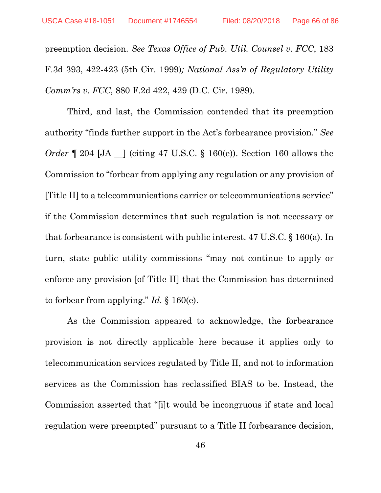preemption decision. *See Texas Office of Pub. Util. Counsel v. FCC*, 183 F.3d 393, 422-423 (5th Cir. 1999)*; National Ass'n of Regulatory Utility Comm'rs v. FCC*, 880 F.2d 422, 429 (D.C. Cir. 1989).

Third, and last, the Commission contended that its preemption authority "finds further support in the Act's forbearance provision." *See Order*  $\llbracket 204 \rrbracket$  *(citing 47 U.S.C.* § 160(e)). Section 160 allows the Commission to "forbear from applying any regulation or any provision of [Title II] to a telecommunications carrier or telecommunications service" if the Commission determines that such regulation is not necessary or that forbearance is consistent with public interest. 47 U.S.C. § 160(a). In turn, state public utility commissions "may not continue to apply or enforce any provision [of Title II] that the Commission has determined to forbear from applying." *Id.* § 160(e).

As the Commission appeared to acknowledge, the forbearance provision is not directly applicable here because it applies only to telecommunication services regulated by Title II, and not to information services as the Commission has reclassified BIAS to be. Instead, the Commission asserted that "[i]t would be incongruous if state and local regulation were preempted" pursuant to a Title II forbearance decision,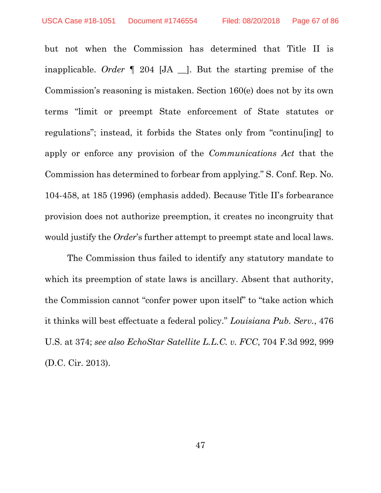but not when the Commission has determined that Title II is inapplicable. *Order* ¶ 204 [JA \_\_]. But the starting premise of the Commission's reasoning is mistaken. Section 160(e) does not by its own terms "limit or preempt State enforcement of State statutes or regulations"; instead, it forbids the States only from "continu[ing] to apply or enforce any provision of the *Communications Act* that the Commission has determined to forbear from applying." S. Conf. Rep. No. 104-458, at 185 (1996) (emphasis added). Because Title II's forbearance provision does not authorize preemption, it creates no incongruity that would justify the *Order*'s further attempt to preempt state and local laws.

The Commission thus failed to identify any statutory mandate to which its preemption of state laws is ancillary. Absent that authority, the Commission cannot "confer power upon itself" to "take action which it thinks will best effectuate a federal policy." *Louisiana Pub. Serv.*, 476 U.S. at 374; *see also EchoStar Satellite L.L.C. v. FCC*, 704 F.3d 992, 999 (D.C. Cir. 2013).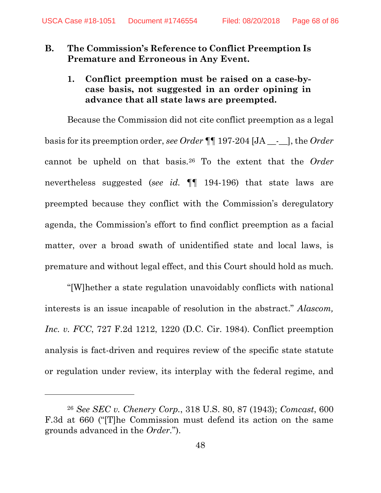## **B. The Commission's Reference to Conflict Preemption Is Premature and Erroneous in Any Event.**

**1. Conflict preemption must be raised on a case-bycase basis, not suggested in an order opining in advance that all state laws are preempted.**

Because the Commission did not cite conflict preemption as a legal basis for its preemption order, *see Order* ¶¶ 197-204 [JA \_\_-\_\_], the *Order* cannot be upheld on that basis.[26](#page-67-0) To the extent that the *Order* nevertheless suggested (*see id.* ¶¶ 194-196) that state laws are preempted because they conflict with the Commission's deregulatory agenda, the Commission's effort to find conflict preemption as a facial matter, over a broad swath of unidentified state and local laws, is premature and without legal effect, and this Court should hold as much.

"[W]hether a state regulation unavoidably conflicts with national interests is an issue incapable of resolution in the abstract." *Alascom, Inc. v. FCC*, 727 F.2d 1212, 1220 (D.C. Cir. 1984). Conflict preemption analysis is fact-driven and requires review of the specific state statute or regulation under review, its interplay with the federal regime, and

 $\overline{a}$ 

<span id="page-67-0"></span><sup>26</sup> *See SEC v. Chenery Corp.*, 318 U.S. 80, 87 (1943); *Comcast*, 600 F.3d at 660 ("[T]he Commission must defend its action on the same grounds advanced in the *[Order.](https://1.next.westlaw.com/Link/Document/FullText?findType=Y&serNum=2016798973&originatingDoc=Iff22bc16418011df8bf6cd8525c41437&refType=RP&originationContext=document&transitionType=DocumentItem&contextData=(sc.DocLink))*").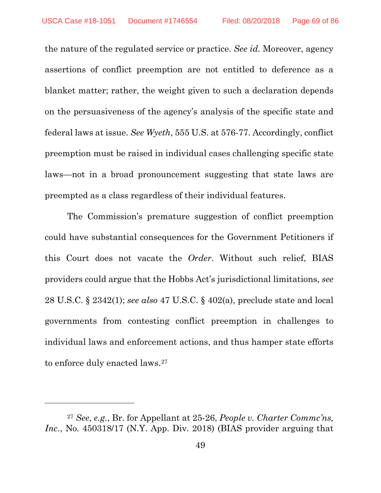the nature of the regulated service or practice. *See id.* Moreover, agency assertions of conflict preemption are not entitled to deference as a blanket matter; rather, the weight given to such a declaration depends on the persuasiveness of the agency's analysis of the specific state and federal laws at issue. *See Wyeth*, 555 U.S. at 576-77. Accordingly, conflict preemption must be raised in individual cases challenging specific state laws—not in a broad pronouncement suggesting that state laws are preempted as a class regardless of their individual features.

The Commission's premature suggestion of conflict preemption could have substantial consequences for the Government Petitioners if this Court does not vacate the *Order*. Without such relief, BIAS providers could argue that the Hobbs Act's jurisdictional limitations, *see*  28 U.S.C. § 2342(1); *see also* 47 U.S.C. § 402(a), preclude state and local governments from contesting conflict preemption in challenges to individual laws and enforcement actions, and thus hamper state efforts to enforce duly enacted laws.<sup>[27](#page-68-0)</sup>

l

<span id="page-68-0"></span><sup>27</sup> *See, e.g.*, Br. for Appellant at 25-26, *People v. Charter Commc'ns, Inc.*, No. 450318/17 (N.Y. App. Div. 2018) (BIAS provider arguing that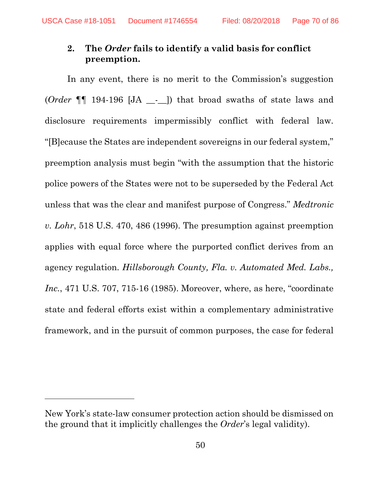## **2. The** *Order* **fails to identify a valid basis for conflict preemption.**

In any event, there is no merit to the Commission's suggestion (*Order* ¶¶ 194-196 [JA \_\_-\_\_]) that broad swaths of state laws and disclosure requirements impermissibly conflict with federal law. "[B]ecause the States are independent sovereigns in our federal system," preemption analysis must begin "with the assumption that the historic police powers of the States were not to be superseded by the Federal Act unless that was the clear and manifest purpose of Congress." *Medtronic v. Lohr*, 518 U.S. 470, 486 (1996). The presumption against preemption applies with equal force where the purported conflict derives from an agency regulation. *Hillsborough County, Fla. v. Automated Med. Labs., Inc.*, 471 U.S. 707, 715-16 (1985). Moreover, where, as here, "coordinate state and federal efforts exist within a complementary administrative framework, and in the pursuit of common purposes, the case for federal

 $\overline{a}$ 

New York's state-law consumer protection action should be dismissed on the ground that it implicitly challenges the *Order*'s legal validity).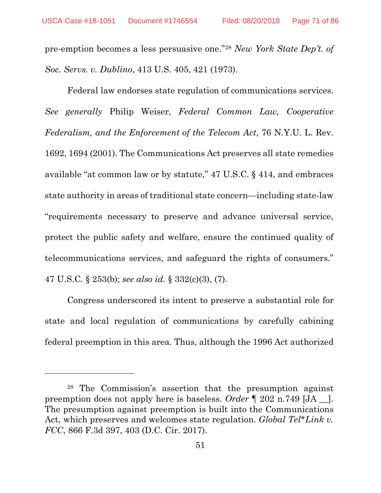pre-emption becomes a less persuasive one."[28](#page-70-0) *New York State Dep't. of Soc. Servs. v. Dublino*, 413 U.S. 405, 421 (1973).

Federal law endorses state regulation of communications services. *See generally* Philip Weiser, *Federal Common Law, Cooperative Federalism, and the Enforcement of the Telecom Act*, 76 N.Y.U. L. Rev. 1692, 1694 (2001). The Communications Act preserves all state remedies available "at common law or by statute," 47 U.S.C. § 414, and embraces state authority in areas of traditional state concern—including state-law "requirements necessary to preserve and advance universal service, protect the public safety and welfare, ensure the continued quality of telecommunications services, and safeguard the rights of consumers." 47 U.S.C. § 253(b); *see also id.* § 332(c)(3), (7).

Congress underscored its intent to preserve a substantial role for state and local regulation of communications by carefully cabining federal preemption in this area. Thus, although the 1996 Act authorized

 $\overline{a}$ 

<span id="page-70-0"></span><sup>28</sup> The Commission's assertion that the presumption against preemption does not apply here is baseless. *Order* ¶ 202 n.749 [JA \_\_]. The presumption against preemption is built into the Communications Act, which preserves and welcomes state regulation. *Global Tel\*Link v. FCC*, 866 F.3d 397, 403 (D.C. Cir. 2017).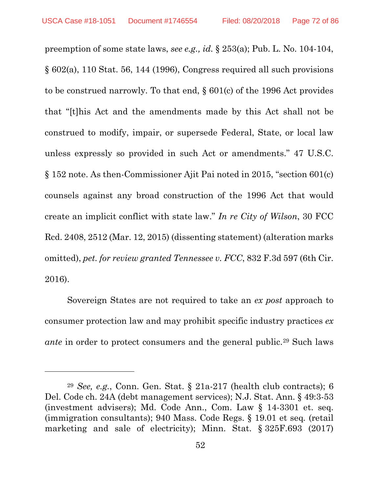$\overline{a}$ 

preemption of some state laws, *see e.g., id.* § 253(a); Pub. L. No. 104-104, § 602(a), 110 Stat. 56, 144 (1996), Congress required all such provisions to be construed narrowly. To that end, § 601(c) of the 1996 Act provides that "[t]his Act and the amendments made by this Act shall not be construed to modify, impair, or supersede Federal, State, or local law unless expressly so provided in such Act or amendments." 47 U.S.C. § 152 note. As then-Commissioner Ajit Pai noted in 2015, "section 601(c) counsels against any broad construction of the 1996 Act that would create an implicit conflict with state law." *In re City of Wilson*, 30 FCC Rcd. 2408, 2512 (Mar. 12, 2015) (dissenting statement) (alteration marks omitted), *pet. for review granted Tennessee v. FCC*, 832 F.3d 597 (6th Cir. 2016).

Sovereign States are not required to take an *ex post* approach to consumer protection law and may prohibit specific industry practices *ex ante* in order to protect consumers and the general public.<sup>[29](#page-71-0)</sup> Such laws

<span id="page-71-0"></span><sup>29</sup> *See, e.g.*, Conn. Gen. Stat. § 21a-217 (health club contracts); 6 Del. Code ch. 24A (debt management services); N.J. Stat. Ann. § 49:3-53 (investment advisers); Md. Code Ann., Com. Law § 14-3301 et. seq. (immigration consultants); 940 Mass. Code Regs. § 19.01 et seq*.* (retail marketing and sale of electricity); Minn. Stat. § 325F.693 (2017)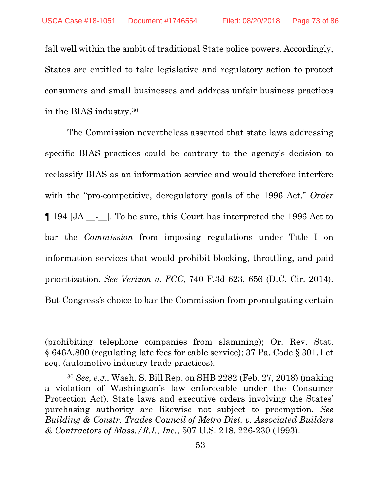fall well within the ambit of traditional State police powers. Accordingly, States are entitled to take legislative and regulatory action to protect consumers and small businesses and address unfair business practices in the BIAS industry.[30](#page-72-0)

The Commission nevertheless asserted that state laws addressing specific BIAS practices could be contrary to the agency's decision to reclassify BIAS as an information service and would therefore interfere with the "pro-competitive, deregulatory goals of the 1996 Act." *Order* ¶ 194 [JA \_\_-\_\_]. To be sure, this Court has interpreted the 1996 Act to bar the *Commission* from imposing regulations under Title I on information services that would prohibit blocking, throttling, and paid prioritization. *See Verizon v. FCC*, 740 F.3d 623, 656 (D.C. Cir. 2014). But Congress's choice to bar the Commission from promulgating certain

 $\overline{a}$ 

<sup>(</sup>prohibiting telephone companies from slamming); Or. Rev. Stat. § 646A.800 (regulating late fees for cable service); 37 Pa. Code § 301.1 et seq. (automotive industry trade practices).

<span id="page-72-0"></span><sup>30</sup> *See, e.g.*, Wash. S. Bill Rep. on SHB 2282 (Feb. 27, 2018) (making a violation of Washington's law enforceable under the Consumer Protection Act). State laws and executive orders involving the States' purchasing authority are likewise not subject to preemption. *See Building & Constr. Trades Council of Metro Dist. v. Associated Builders & Contractors of Mass./R.I., Inc.*, 507 U.S. 218, 226-230 (1993).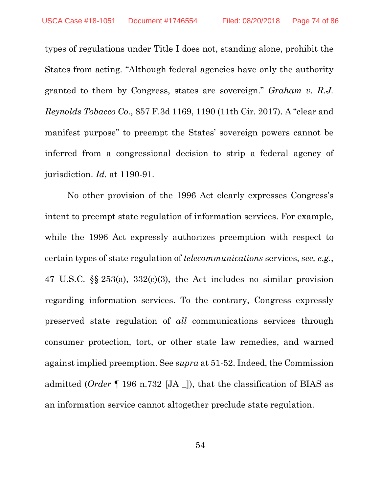types of regulations under Title I does not, standing alone, prohibit the States from acting. "Although federal agencies have only the authority granted to them by Congress, states are sovereign." *Graham v. R.J. Reynolds Tobacco Co.*, 857 F.3d 1169, 1190 (11th Cir. 2017). A "clear and manifest purpose" to preempt the States' sovereign powers cannot be inferred from a congressional decision to strip a federal agency of jurisdiction. *Id.* at 1190-91.

No other provision of the 1996 Act clearly expresses Congress's intent to preempt state regulation of information services. For example, while the 1996 Act expressly authorizes preemption with respect to certain types of state regulation of *telecommunications* services, *see, e.g.*, 47 U.S.C. §§ 253(a), 332(c)(3), the Act includes no similar provision regarding information services. To the contrary, Congress expressly preserved state regulation of *all* communications services through consumer protection, tort, or other state law remedies, and warned against implied preemption. See *supra* at 51-52. Indeed, the Commission admitted (*Order* ¶ 196 n.732 [JA \_]), that the classification of BIAS as an information service cannot altogether preclude state regulation.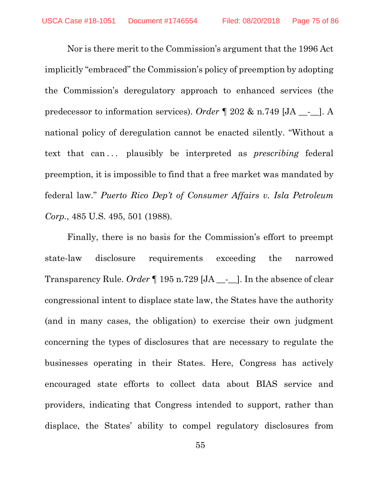Nor is there merit to the Commission's argument that the 1996 Act implicitly "embraced" the Commission's policy of preemption by adopting the Commission's deregulatory approach to enhanced services (the predecessor to information services). *Order* ¶ 202 & n.749 [JA \_\_-\_\_]. A national policy of deregulation cannot be enacted silently. "Without a text that can... plausibly be interpreted as *prescribing* federal preemption, it is impossible to find that a free market was mandated by federal law." *Puerto Rico Dep't of Consumer Affairs v. Isla Petroleum Corp.*, 485 U.S. 495, 501 (1988).

Finally, there is no basis for the Commission's effort to preempt state-law disclosure requirements exceeding the narrowed Transparency Rule. *Order* ¶ 195 n.729 [JA \_\_-\_\_]. In the absence of clear congressional intent to displace state law, the States have the authority (and in many cases, the obligation) to exercise their own judgment concerning the types of disclosures that are necessary to regulate the businesses operating in their States. Here, Congress has actively encouraged state efforts to collect data about BIAS service and providers, indicating that Congress intended to support, rather than displace, the States' ability to compel regulatory disclosures from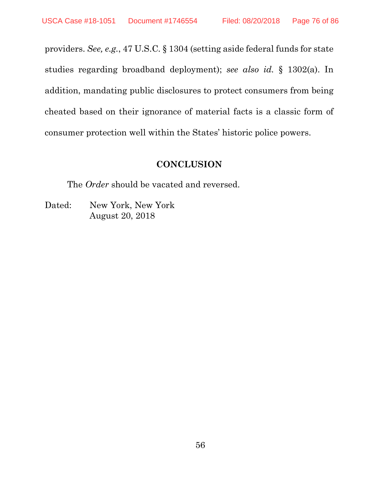providers. *See, e.g.*, 47 U.S.C. § 1304 (setting aside federal funds for state studies regarding broadband deployment); *see also id.* § 1302(a). In addition, mandating public disclosures to protect consumers from being cheated based on their ignorance of material facts is a classic form of consumer protection well within the States' historic police powers.

### **CONCLUSION**

The *Order* should be vacated and reversed.

Dated: New York, New York August 20, 2018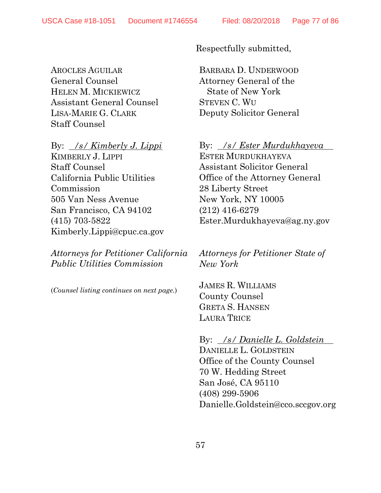AROCLES AGUILAR General Counsel HELEN M. MICKIEWICZ Assistant General Counsel LISA-MARIE G. CLARK Staff Counsel

By: */s/ Kimberly J. Lippi* KIMBERLY J. LIPPI Staff Counsel California Public Utilities Commission 505 Van Ness Avenue San Francisco, CA 94102 (415) 703-5822 [Kimberly.Lippi@cpuc.ca.gov](mailto:Kimberly.Lippi@cpuc.ca.gov)

*Attorneys for Petitioner California Public Utilities Commission*

(*Counsel listing continues on next page.*)

Respectfully submitted,

BARBARA D. UNDERWOOD Attorney General of the State of New York STEVEN C. WU Deputy Solicitor General

By: */s/ Ester Murdukhayeva* ESTER MURDUKHAYEVA Assistant Solicitor General Office of the Attorney General 28 Liberty Street New York, NY 10005 (212) 416-6279 Ester.Murdukhayeva@ag.ny.gov

*Attorneys for Petitioner State of New York*

JAMES R. WILLIAMS County Counsel GRETA S. HANSEN LAURA TRICE

By: */s/ Danielle L. Goldstein* DANIELLE L. GOLDSTEIN Office of the County Counsel 70 W. Hedding Street San José, CA 95110 (408) 299-5906 Danielle.Goldstein@cco.sccgov.org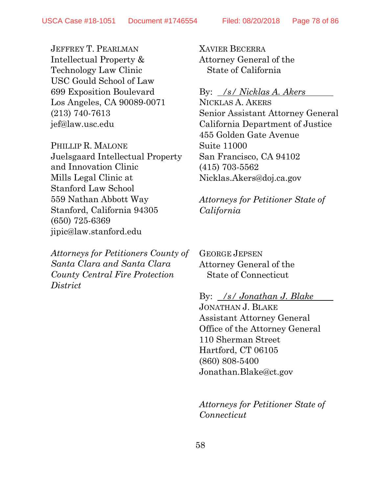JEFFREY T. PEARLMAN Intellectual Property & Technology Law Clinic USC Gould School of Law 699 Exposition Boulevard Los Angeles, CA 90089-0071 (213) 740-7613 [jef@law.usc.edu](mailto:jef@law.usc.edu)

PHILLIP R. MALONE Juelsgaard Intellectual Property and Innovation Clinic Mills Legal Clinic at Stanford Law School 559 Nathan Abbott Way Stanford, California 94305 (650) 725-6369 [jipic@law.stanford.edu](mailto:jipic@law.stanford.edu)

*Attorneys for Petitioners County of Santa Clara and Santa Clara County Central Fire Protection District*

XAVIER BECERRA Attorney General of the State of California

## By: */s/ Nicklas A. Akers*

NICKLAS A. AKERS Senior Assistant Attorney General California Department of Justice 455 Golden Gate Avenue Suite 11000 San Francisco, CA 94102 (415) 703-5562 [Nicklas.Akers@doj.ca.gov](mailto:Nicklas.Akers@doj.ca.gov)

*Attorneys for Petitioner State of California*

GEORGE JEPSEN Attorney General of the State of Connecticut

By: */s/ Jonathan J. Blake*

JONATHAN J. BLAKE Assistant Attorney General Office of the Attorney General 110 Sherman Street Hartford, CT 06105 (860) 808-5400 Jonathan.Blake@ct.gov

*Attorneys for Petitioner State of Connecticut*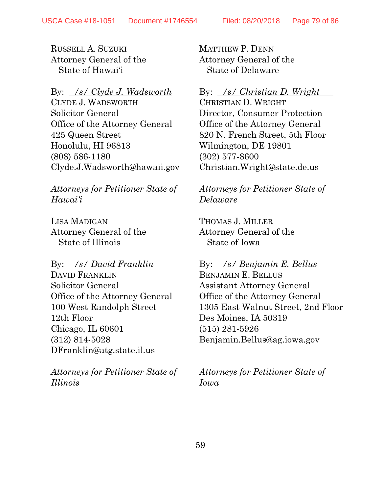RUSSELL A. SUZUKI Attorney General of the State of Hawai'i

By: */s/ Clyde J. Wadsworth*

CLYDE J. WADSWORTH Solicitor General Office of the Attorney General 425 Queen Street Honolulu, HI 96813 (808) 586-1180 Clyde.J.Wadsworth@hawaii.gov

*Attorneys for Petitioner State of Hawai'i*

LISA MADIGAN Attorney General of the State of Illinois

By: */s/ David Franklin* DAVID FRANKLIN Solicitor General Office of the Attorney General 100 West Randolph Street 12th Floor Chicago, IL 60601 (312) 814-5028 DFranklin@atg.state.il.us

*Attorneys for Petitioner State of Illinois*

MATTHEW P. DENN Attorney General of the State of Delaware

## By: */s/ Christian D. Wright*

CHRISTIAN D. WRIGHT Director, Consumer Protection Office of the Attorney General 820 N. French Street, 5th Floor Wilmington, DE 19801 (302) 577-8600 Christian.Wright@state.de.us

*Attorneys for Petitioner State of Delaware*

THOMAS J. MILLER Attorney General of the State of Iowa

By: */s/ Benjamin E. Bellus* BENJAMIN E. BELLUS

Assistant Attorney General Office of the Attorney General 1305 East Walnut Street, 2nd Floor Des Moines, IA 50319 (515) 281-5926 Benjamin.Bellus@ag.iowa.gov

*Attorneys for Petitioner State of Iowa*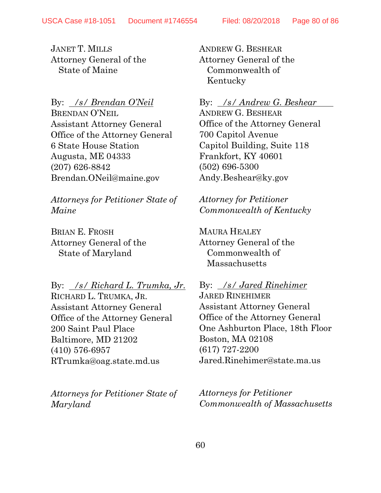JANET T. MILLS Attorney General of the State of Maine

By: */s/ Brendan O'Neil* BRENDAN O'NEIL Assistant Attorney General Office of the Attorney General 6 State House Station Augusta, ME 04333 (207) 626-8842 Brendan.ONeil@maine.gov

*Attorneys for Petitioner State of Maine*

BRIAN E. FROSH Attorney General of the State of Maryland

By: */s/ Richard L. Trumka, Jr.* RICHARD L. TRUMKA, JR. Assistant Attorney General Office of the Attorney General 200 Saint Paul Place Baltimore, MD 21202 (410) 576-6957

RTrumka@oag.state.md.us

*Attorneys for Petitioner State of Maryland*

ANDREW G. BESHEAR Attorney General of the Commonwealth of Kentucky

### By: */s/ Andrew G. Beshear*

ANDREW G. BESHEAR Office of the Attorney General 700 Capitol Avenue Capitol Building, Suite 118 Frankfort, KY 40601 (502) 696-5300 Andy.Beshear@ky.gov

*Attorney for Petitioner Commonwealth of Kentucky*

MAURA HEALEY Attorney General of the Commonwealth of Massachusetts

By: */s/ Jared Rinehimer* JARED RINEHIMER Assistant Attorney General Office of the Attorney General One Ashburton Place, 18th Floor Boston, MA 02108 (617) 727-2200 Jared.Rinehimer@state.ma.us

*Attorneys for Petitioner Commonwealth of Massachusetts*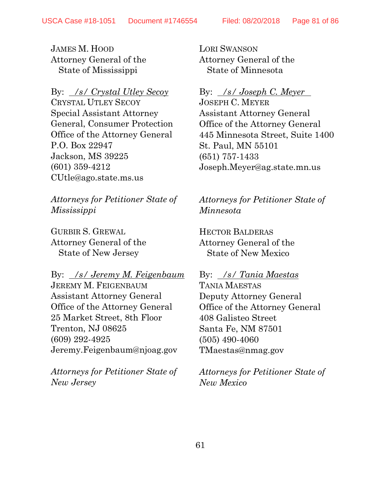JAMES M. HOOD Attorney General of the State of Mississippi

# By: */s/ Crystal Utley Secoy* CRYSTAL UTLEY SECOY Special Assistant Attorney General, Consumer Protection Office of the Attorney General P.O. Box 22947 Jackson, MS 39225 (601) 359-4212

*Attorneys for Petitioner State of Mississippi*

GURBIR S. GREWAL Attorney General of the State of New Jersey

CUtle@ago.state.ms.us

By: */s/ Jeremy M. Feigenbaum* JEREMY M. FEIGENBAUM Assistant Attorney General Office of the Attorney General 25 Market Street, 8th Floor Trenton, NJ 08625 (609) 292-4925 Jeremy.Feigenbaum@njoag.gov

*Attorneys for Petitioner State of New Jersey*

LORI SWANSON Attorney General of the State of Minnesota

## By: */s/ Joseph C. Meyer*

JOSEPH C. MEYER Assistant Attorney General Office of the Attorney General 445 Minnesota Street, Suite 1400 St. Paul, MN 55101 (651) 757-1433 Joseph.Meyer@ag.state.mn.us

*Attorneys for Petitioner State of Minnesota*

HECTOR BALDERAS Attorney General of the State of New Mexico

#### By: */s/ Tania Maestas*

TANIA MAESTAS Deputy Attorney General Office of the Attorney General 408 Galisteo Street Santa Fe, NM 87501 (505) 490-4060 TMaestas@nmag.gov

*Attorneys for Petitioner State of New Mexico*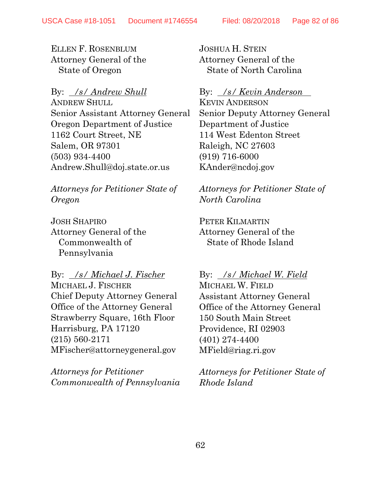ELLEN F. ROSENBLUM Attorney General of the State of Oregon

By: */s/ Andrew Shull* ANDREW SHULL Senior Assistant Attorney General Oregon Department of Justice 1162 Court Street, NE Salem, OR 97301 (503) 934-4400 Andrew.Shull@doj.state.or.us

*Attorneys for Petitioner State of Oregon*

JOSH SHAPIRO Attorney General of the Commonwealth of Pennsylvania

By: */s/ Michael J. Fischer* MICHAEL J. FISCHER Chief Deputy Attorney General Office of the Attorney General Strawberry Square, 16th Floor Harrisburg, PA 17120 (215) 560-2171 MFischer@attorneygeneral.gov

*Attorneys for Petitioner Commonwealth of Pennsylvania* JOSHUA H. STEIN Attorney General of the State of North Carolina

## By: */s/ Kevin Anderson*

KEVIN ANDERSON Senior Deputy Attorney General Department of Justice 114 West Edenton Street Raleigh, NC 27603 (919) 716-6000 KAnder@ncdoj.gov

*Attorneys for Petitioner State of North Carolina*

PETER KILMARTIN Attorney General of the State of Rhode Island

By: */s/ Michael W. Field*

MICHAEL W. FIELD Assistant Attorney General Office of the Attorney General 150 South Main Street Providence, RI 02903 (401) 274-4400 MField@riag.ri.gov

*Attorneys for Petitioner State of Rhode Island*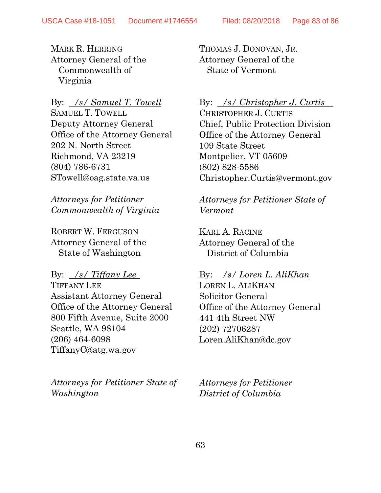MARK R. HERRING Attorney General of the Commonwealth of Virginia

By: */s/ Samuel T. Towell*

SAMUEL T. TOWELL Deputy Attorney General Office of the Attorney General 202 N. North Street Richmond, VA 23219 (804) 786-6731 STowell@oag.state.va.us

*Attorneys for Petitioner Commonwealth of Virginia*

ROBERT W. FERGUSON Attorney General of the State of Washington

# By: */s/ Tiffany Lee* TIFFANY LEE Assistant Attorney General Office of the Attorney General 800 Fifth Avenue, Suite 2000 Seattle, WA 98104

(206) 464-6098 TiffanyC@atg.wa.gov

*Attorneys for Petitioner State of Washington*

THOMAS J. DONOVAN, JR. Attorney General of the State of Vermont

## By: */s/ Christopher J. Curtis*

CHRISTOPHER J. CURTIS Chief, Public Protection Division Office of the Attorney General 109 State Street Montpelier, VT 05609 (802) 828-5586 Christopher.Curtis@vermont.gov

*Attorneys for Petitioner State of Vermont*

KARL A. RACINE Attorney General of the District of Columbia

### By: */s/ Loren L. AliKhan*

LOREN L. ALIKHAN Solicitor General Office of the Attorney General 441 4th Street NW (202) 72706287 Loren.AliKhan@dc.gov

*Attorneys for Petitioner District of Columbia*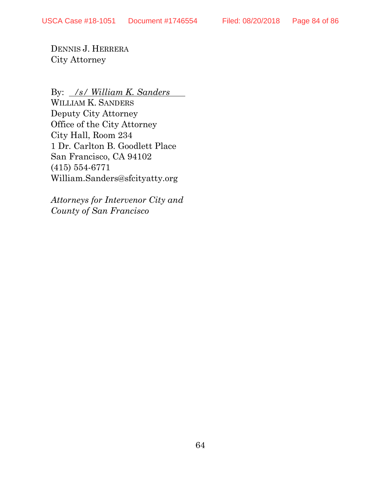DENNIS J. HERRERA City Attorney

By: */s/ William K. Sanders*

WILLIAM K. SANDERS Deputy City Attorney Office of the City Attorney City Hall, Room 234 1 Dr. Carlton B. Goodlett Place San Francisco, CA 94102 (415) 554-6771 William.Sanders@sfcityatty.org

*Attorneys for Intervenor City and County of San Francisco*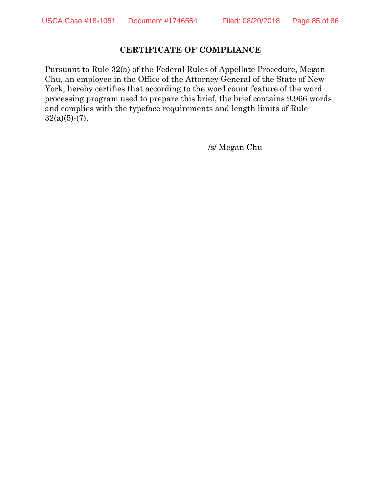#### **CERTIFICATE OF COMPLIANCE**

Pursuant to Rule 32(a) of the Federal Rules of Appellate Procedure, Megan Chu, an employee in the Office of the Attorney General of the State of New York, hereby certifies that according to the word count feature of the word processing program used to prepare this brief, the brief contains 9,966 words and complies with the typeface requirements and length limits of Rule  $32(a)(5)-(7)$ .

. /s/ Megan Chu .